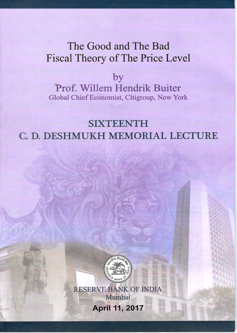# The Good and The Bad **Fiscal Theory of The Price Level**

by Prof. Willem Hendrik Buiter Global Chief Economist, Citigroup, New York

**SIXTEENTH** C. D. DESHMUKH MEMORIAL LECTURE



**RESERVE BANK OF INDIA** Mumbai **April 11, 2017**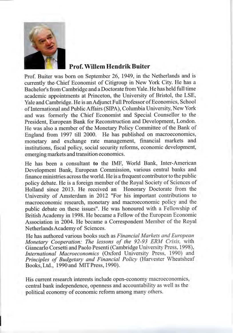

# **Prof. Willem Hendrik Buiter**

Prof. Buiter was born on September 26, 1949, in the Netherlands and is currently the Chief Economist of Citigroup in New York City. He has a Bachelor's from Cambridge and a Doctorate from Yale. He has held full time academic appointments at Princeton, the University of Bristol, the LSE, Yale and Cambridge. He is an Adjunct Full Professor of Economics, School of International and Public Affairs (SIPA), Columbia University, New York and was formerly the Chief Economist and Special Counsellor to the President, European Bank for Reconstruction and Development, London. He was also a member of the Monetary Policy Committee of the Bank of England from 1997 till 2000. He has published on macroeconomics, monetary and exchange rate management, financial markets and institutions, fiscal policy, social security reforms, economic development, emerging markets and transition economics.

He has been a consultant to the IMF, World Bank, Inter-American Development Bank, European Commission, various central banks and finance ministries across the world. He is a frequent contributor to the public policy debate. He is a foreign member of the Royal Society of Sciences of Holland since 2013. He received an Honorary Doctorate from the University of Amsterdam in 2012 "For his important contributions to macroeconomic research, monetary and macroeconomic policy and the public debate on these issues". He was honoured with a Fellowship of British Academy in 1998. He became a Fellow of the European Economic Association in 2004. He became a Correspondent Member of the Royal Netherlands Academy of Sciences.

He has authored various books such as Financial Markets and European Monetary Cooperation: The lessons of the 92-93 ERM Crisis, with Giancarlo Corsetti and Paolo Pesenti (Cambridge University Press, 1998), International Macroeconomics (Oxford University Press, 1990) and Principles of Budgetary and Financial Policy (Harvester Wheatsheaf Books, Ltd., 1990 and MIT Press, 1990).

His current research interests include open-economy macroeconomics, central bank independence, openness and accountability as well as the political economy of economic reform among many others.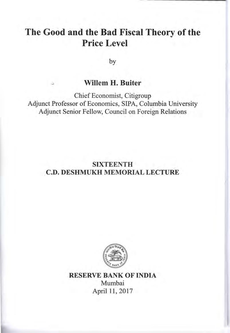# The Good and the Bad Fiscal Theory of the **Price Level**

by

# **Willem H. Buiter**

Chief Economist, Citigroup Adjunct Professor of Economics, SIPA, Columbia University Adjunct Senior Fellow, Council on Foreign Relations

# **SIXTEENTH C.D. DESHMUKH MEMORIAL LECTURE**



**RESERVE BANK OF INDIA** Mumbai April 11, 2017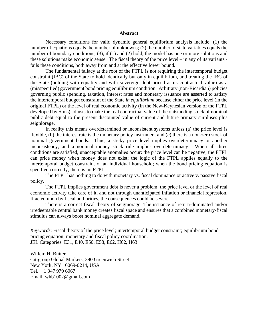#### **Abstract**

Necessary conditions for valid dynamic general equilibrium analysis include: (1) the number of equations equals the number of unknowns; (2) the number of state variables equals the number of boundary conditions; (3), if (1) and (2) hold, the model has one or more solutions and these solutions make economic sense. The fiscal theory of the price level – in any of its variants fails these conditions, both away from and at the effective lower bound.

The fundamental fallacy at the root of the FTPL is not requiring the intertemporal budget constraint (IBC) of the State to hold identically but only in equilibrium, and treating the IBC of the State (holding with equality and with sovereign debt priced at its contractual value) as a (misspecified) government bond pricing equilibrium condition. Arbitrary (non-Ricardian) policies governing public spending, taxation, interest rates and monetary issuance are asserted to satisfy the intertemporal budget constraint of the State *in equilibrium* because either the price level (in the original FTPL) or the level of real economic activity (in the New-Keynesian version of the FTPL developed by Sims) adjusts to make the real contractual value of the outstanding stock of nominal public debt equal to the present discounted value of current and future primary surpluses plus seigniorage.

In reality this means overdetermined or inconsistent systems unless (a) the price level is flexible, (b) the interest rate is the monetary policy instrument and (c) there is a non-zero stock of nominal government bonds. Thus, a sticky price level implies overdeterminacy or another inconsistency, and a nominal money stock rule implies overdeterminacy. When all three conditions are satisfied, unacceptable anomalies occur: the price level can be negative; the FTPL can price money when money does not exist; the logic of the FTPL applies equally to the intertemporal budget constraint of an individual household; when the bond pricing equation is specified correctly, there is no FTPL.

The FTPL has nothing to do with monetary vs. fiscal dominance or active v. passive fiscal policy.

The FTPL implies government debt is never a problem; the price level or the level of real economic activity take care of it, and not through unanticipated inflation or financial repression. If acted upon by fiscal authorities, the consequences could be severe.

There is a correct fiscal theory of seigniorage. The issuance of return-dominated and/or irredeemable central bank money creates fiscal space and ensures that a combined monetary-fiscal stimulus can always boost nominal aggregate demand.

*Keywords*: Fiscal theory of the price level; intertemporal budget constraint; equilibrium bond pricing equation; monetary and fiscal policy coordination. JEL Categories: E31, E40, E50, E58, E62, H62, H63

Willem H. Buiter Citigroup Global Markets, 390 Greenwich Street New York, NY 10069-0214, USA Tel. + 1 347 979 6067 Email: whb1002@gmail.com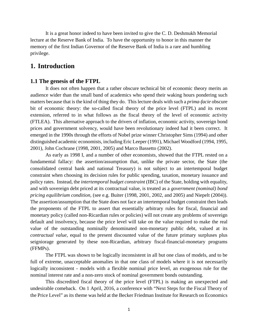It is a great honor indeed to have been invited to give the C. D. Deshmukh Memorial lecture at the Reserve Bank of India. To have the opportunity to honor in this manner the memory of the first Indian Governor of the Reserve Bank of India is a rare and humbling privilege.

# **1. Introduction**

#### **1.1 The genesis of the FTPL**

It does not often happen that a rather obscure technical bit of economic theory merits an audience wider than the small band of academics who spend their waking hours pondering such matters because that is the kind of thing they do. This lecture deals with such a *prima-facie* obscure bit of economic theory: the so-called fiscal theory of the price level (FTPL) and its recent extension, referred to in what follows as the fiscal theory of the level of economic activity (FTLEA). This alternative approach to the drivers of inflation, economic activity, sovereign bond prices and government solvency, would have been revolutionary indeed had it been correct. It emerged in the 1990s through the efforts of Nobel prize winner Christopher Sims (1994) and other distinguished academic economists, including Eric Leeper (1991), Michael Woodford (1994, 1995, 2001), John Cochrane (1998, 2001, 2005) and Marco Bassetto (2002).

As early as 1998 I, and a number of other economists, showed that the FTPL rested on a fundamental fallacy: the assertion/assumption that, unlike the private sector, the State (the consolidated central bank and national Treasury) is not subject to an intertemporal budget constraint when choosing its decision rules for public spending, taxation, monetary issuance and policy rates. Instead, the *intertemporal budget constraint* (IBC) of the State, holding with equality, and with sovereign debt priced at its contractual value, is treated as a *government (nominal) bond pricing equilibrium condition,* (see e.g. Buiter (1998, 2001, 2002, and 2005) and Niepelt (2004)). The assertion/assumption that the State does not face an intertemporal budget constraint then leads the proponents of the FTPL to assert that essentially arbitrary rules for fiscal, financial and monetary policy (called non-Ricardian rules or policies) will not create any problems of sovereign default and insolvency, because the price level will take on the value required to make the real value of the outstanding nominally denominated non-monetary public debt, valued at its *contractual value*, equal to the present discounted value of the future primary surpluses plus seigniorage generated by these non-Ricardian, arbitrary fiscal-financial-monetary programs (FFMPs).

The FTPL was shown to be logically inconsistent in all but one class of models, and to be full of extreme, unacceptable anomalies in that one class of models where it is not necessarily logically inconsistent - models with a flexible nominal price level, an exogenous rule for the nominal interest rate and a non-zero stock of nominal government bonds outstanding.

This discredited fiscal theory of the price level (FTPL) is making an unexpected and undesirable comeback. On 1 April, 2016, a conference with "Next Steps for the Fiscal Theory of the Price Level" as its theme was held at the Becker Friedman Institute for Research on Economics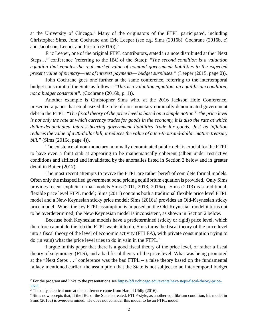at the University of Chicago.[2](#page-5-0) Many of the originators of the FTPL participated, including Christopher Sims, John Cochrane and Eric Leeper (see e.g. Sims (2016b), Cochrane (2016b, c) and Jacobson, Leeper and Preston (2016)).<sup>[3](#page-5-1)</sup>

Eric Leeper, one of the original FTPL contributors, stated in a note distributed at the "Next Steps…" conference (referring to the IBC of the State): *"The second condition is a valuation equation that equates the real market value of nominal government liabilities to the expected present value of primary—net of interest payments— budget surpluses."* (Leeper (2015, page 2)).

John Cochrane goes one further at the same conference, referring to the intertemporal budget constraint of the State as follows: *"This is a valuation equation, an equilibrium condition, not a budget constraint".* (Cochrane (2016b, p. 1)).

Another example is Christopher Sims who, at the 2016 Jackson Hole Conference, presented a paper that emphasized the role of non-monetary nominally denominated government debt in the FTPL: "*The fiscal theory of the price level is based on a simple notion.1 The price level is not only the rate at which currency trades for goods in the economy, it is also the rate at which dollar-denominated interest-bearing government liabilities trade for goods. Just as inflation reduces the value of a 20-dollar bill, it reduces the value of a ten-thousand-dollar mature treasury bill."* (Sims (2016c, page 4)).

The existence of non-monetary nominally denominated public debt is crucial for the FTPL to have even a faint stab at appearing to be mathematically coherent (albeit under restrictive conditions and afflicted and invalidated by the anomalies listed in Section 2 below and in greater detail in Buiter (2017).

The most recent attempts to revive the FTPL are rather bereft of complete formal models. Often only the misspecified government bond pricing equilibrium equation is provided. Only Sims provides recent explicit formal models Sims (2011, 2013, 2016a). Sims (2013) is a traditional, flexible price level FTPL model; Sims (2011) contains both a traditional flexible price level FTPL model and a New-Keynesian sticky price model; Sims (2016a) provides an Old-Keynesian sticky price model. When the key FTPL assumption is imposed on the Old-Keynesian model it turns out to be overdetermined; the New-Keynesian model is inconsistent, as shown in Section 2 below.

Because both Keynesian models have a predetermined (sticky or rigid) price level, which therefore cannot do the job the FTPL wants it to do, Sims turns the fiscal theory of the price level into a fiscal theory of the level of economic activity (FTLEA), with private consumption trying to do (in vain) what the price level tries to do in vain in the FTPL.[4](#page-5-2)

I argue in this paper that there is a good fiscal theory of the price level, or rather a fiscal theory of seigniorage (FTS), and a bad fiscal theory of the price level. What was being promoted at the "Next Steps …" conference was the bad FTPL – a false theory based on the fundamental fallacy mentioned earlier: the assumption that the State is not subject to an intertemporal budget

<span id="page-5-0"></span><sup>2</sup> For the program and links to the presentations se[e https://bfi.uchicago.edu/events/next-steps-fiscal-theory-price-](https://bfi.uchicago.edu/events/next-steps-fiscal-theory-price-level) $\frac{level}{3}$ . The only skeptical note at the conference came from Harald Uhlig (2016).

<span id="page-5-1"></span>

<span id="page-5-2"></span><sup>4</sup> Sims now accepts that, if the IBC of the State is treated, FTLP-style, as another equilibrium condition, his model in Sims (2016a) is overdetermined. He does not consider this model to be an FTPL model.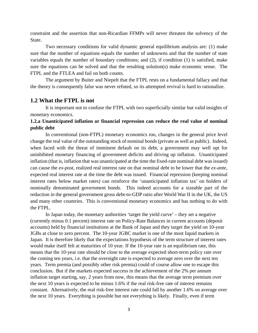constraint and the assertion that non-Ricardian FFMPs will never threaten the solvency of the State.

Two necessary conditions for valid dynamic general equilibrium analysis are: (1) make sure that the number of equations equals the number of unknowns and that the number of state variables equals the number of boundary conditions; and (2), if condition (1) is satisfied, make sure the equations can be solved and that the resulting solution(s) make economic sense. The FTPL and the FTLEA and fail on both counts.

The argument by Buiter and Niepelt that the FTPL rests on a fundamental fallacy and that the theory is consequently false was never refuted, so its attempted revival is hard to rationalize.

#### **1.2 What the FTPL is not**

It is important not to confuse the FTPL with two superficially similar but valid insights of monetary economics.

## **1.2.a Unanticipated inflation or financial repression can reduce the real value of nominal public debt**

In conventional (non-FTPL) monetary economics too, changes in the general price level change the real value of the outstanding stock of nominal bonds (private as well as public). Indeed, when faced with the threat of imminent default on its debt, a government may well opt for uninhibited monetary financing of government deficits and driving up inflation. Unanticipated inflation (that is, inflation that was unanticipated at the time the fixed-rate nominal debt was issued) can cause the *ex-post*, realized real interest rate on that nominal debt to be lower that the *ex-ante*, expected real interest rate at the time the debt was issued. Financial repression (keeping nominal interest rates below market rates) can reinforce the 'unanticipated inflation tax' on holders of nominally denominated government bonds. This indeed accounts for a sizeable part of the reduction in the general government gross debt-to-GDP ratio after World War II in the UK, the US and many other countries. This is conventional monetary economics and has nothing to do with the FTPL.

In Japan today, the monetary authorities 'target the yield curve' – they set a negative (currently minus 0.1 percent) interest rate on Policy-Rate Balances in current accounts (deposit accounts) held by financial institutions at the Bank of Japan and they target the yield on 10-year JGBs at close to zero percent. The 10-year JGBC market is one of the most liquid markets in Japan. It is therefore likely that the expectations hypothesis of the term structure of interest rates would make itself felt at maturities of 10 year. If the 10-year rate is an equilibrium rate, this means that the 10-year rate should be close to the average expected short-term policy rate over the coming ten years, i.e. that the overnight rate is expected to average zero over the next ten years. Term premia (and possibly other risk premia) could of course allow one to escape this conclusion. But if the markets expected success in the achievement of the 2% per annum inflation target starting, say, 2 years from now, this means that the average term premium over the next 10 years is expected to be minus 1.6% if the real risk-free rate of interest remains constant. Alternatively, the real risk-free interest rate could fall by another 1.6% on average over the next 10 years. Everything is possible but not everything is likely. Finally, even if term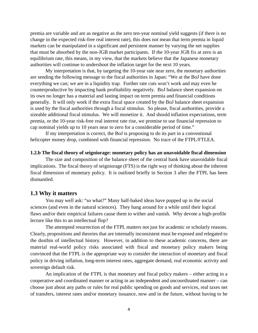premia are variable and are as negative as the zero ten-year nominal yield suggests (if there is no change in the expected risk-free real interest rate), this does not mean that term premia in liquid markets can be manipulated in a significant and persistent manner by varying the net supplies that must be absorbed by the non-JGB market participants. If the 10-year JGB fix at zero is an equilibrium rate, this means, in my view, that the markets believe that the Japanese monetary authorities will continue to undershoot the inflation target for the next 10 years.

My interpretation is that, by targeting the 10-year rate near zero, the monetary authorities are sending the following message to the fiscal authorities in Japan: "We at the BoJ have done everything we can; we are in a liquidity trap. Further rate cuts won't work and may even be counterproductive by impacting bank profitability negatively. BoJ balance sheet expansion on its own no longer has a material and lasting impact on term premia and financial conditions generally. It will only work if the extra fiscal space created by the BoJ balance sheet expansion is used by the fiscal authorities through a fiscal stimulus. So please, fiscal authorities, provide a sizeable additional fiscal stimulus. We will monetize it. And should inflation expectations, term premia, or the 10-year risk-free real interest rate rise, we promise to use financial repression to cap nominal yields up to 10 years near to zero for a considerable period of time."

If my interpretation is correct, the BoJ is proposing to do its part in a conventional helicopter money drop, combined with financial repression. No trace of the FTPL/FTLEA.

#### **1.2.b The fiscal theory of seigniorage: monetary policy has an unavoidable fiscal dimension**

The size and composition of the balance sheet of the central bank have unavoidable fiscal implications. The fiscal theory of seigniorage (FTS) is the right way of thinking about the inherent fiscal dimension of monetary policy. It is outlined briefly in Section 3 after the FTPL has been dismantled.

#### **1.3 Why it matters**

You may well ask: "so what?" Many half-baked ideas have popped up in the social sciences (and even in the natural sciences). They hang around for a while until their logical flaws and/or their empirical failures cause them to wither and vanish. Why devote a high-profile lecture like this to an intellectual flop?

The attempted resurrection of the FTPL matters not just for academic or scholarly reasons. Clearly, propositions and theories that are internally inconsistent must be exposed and relegated to the dustbin of intellectual history. However, in addition to these academic concerns, there are material real-world policy risks associated with fiscal and monetary policy makers being convinced that the FTPL is the appropriate way to consider the interaction of monetary and fiscal policy in driving inflation, long-term interest rates, aggregate demand, real economic activity and sovereign default risk.

An implication of the FTPL is that monetary and fiscal policy makers – either acting in a cooperative and coordinated manner or acting in an independent and uncoordinated manner – can choose just about any paths or rules for real public spending on goods and services, real taxes net of transfers, interest rates and/or monetary issuance, now and in the future, without having to be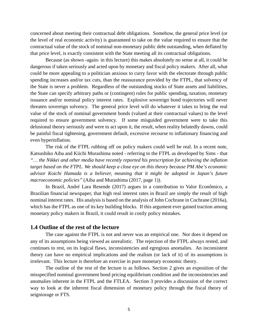concerned about meeting their contractual debt obligations. Somehow, the general price level (or the level of real economic activity) is guaranteed to take on the value required to ensure that the contractual value of the stock of nominal non-monetary public debt outstanding, when deflated by that price level, is exactly consistent with the State meeting all its contractual obligations.

Because (as shown -again- in this lecture) this makes absolutely no sense at all, it could be dangerous if taken seriously and acted upon by monetary and fiscal policy makers. After all, what could be more appealing to a politician anxious to curry favor with the electorate through public spending increases and/or tax cuts, than the reassurance provided by the FTPL, that solvency of the State is never a problem. Regardless of the outstanding stocks of State assets and liabilities, the State can specify arbitrary paths or (contingent) rules for public spending, taxation, monetary issuance and/or nominal policy interest rates. Explosive sovereign bond trajectories will never threaten sovereign solvency. The general price level will do whatever it takes to bring the real value of the stock of nominal government bonds (valued at their contractual values) to the level required to ensure government solvency. If some misguided government were to take this delusional theory seriously and were to act upon it, the result, when reality belatedly dawns, could be painful fiscal tightening, government default, excessive recourse to inflationary financing and even hyperinflation.

The risk of the FTPL rubbing off on policy makers could well be real. In a recent note, Katsushiko Aiba and Kiichi Murashima noted - referring to the FTPL as developed by Sims - that *"… the Nikkei and other media have recently reported his prescription for achieving the inflation target based on the FTPL. We should keep a close eye on this theory because PM Abe's economic advisor Koichi Hamada is a believer, meaning that it might be adopted in Japan's future macroeconomic policies"* (Aiba and Murashima (2017, page 1)).

In Brazil, André Lara Resende (2017) argues in a contribution to Valor Econômico, a Brazilian financial newspaper, that high real interest rates in Brazil are simply the result of high nominal interest rates. His analysis is based on the analysis of John Cochrane in Cochrane (2016a), which has the FTPL as one of its key building blocks. If this argument ever gained traction among monetary policy makers in Brazil, it could result in costly policy mistakes.

#### **1.4 Outline of the rest of the lecture**

The case against the FTPL is not and never was an empirical one. Nor does it depend on any of its assumptions being viewed as unrealistic. The rejection of the FTPL always rested, and continues to rest, on its logical flaws, inconsistencies and egregious anomalies. An inconsistent theory can have no empirical implications and the realism (or lack of it) of its assumptions is irrelevant. This lecture is therefore an exercise in pure monetary economic theory.

The outline of the rest of the lecture is as follows. Section 2 gives an exposition of the misspecified nominal government bond pricing equilibrium condition and the inconsistencies and anomalies inherent in the FTPL and the FTLEA. Section 3 provides a discussion of the correct way to look at the inherent fiscal dimension of monetary policy through the fiscal theory of seigniorage or FTS.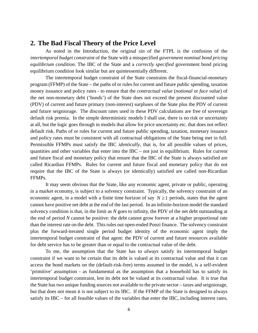# **2. The Bad Fiscal Theory of the Price Level**

As noted in the Introduction, the original sin of the FTPL is the confusion of the *intertemporal budget constraint* of the State with a misspecified *government nominal bond pricing equilibrium condition*. The IBC of the State and a *correctly specified* government bond pricing equilibrium condition look similar but are quintessentially different.

The intertemporal budget constraint of the State constrains the fiscal-financial-monetary program (FFMP) of the State – the paths of or rules for current and future public spending, taxation money issuance and policy rates - to ensure that the *contractual value* (*notional* or *face value*) of the net non-monetary debt ('bonds') of the State does not exceed the present discounted value (PDV) of current and future primary (non-interest) surpluses of the State plus the PDV of current and future seigniorage. The discount rates used in these PDV calculations are free of sovereign default risk premia. In the simple deterministic models I shall use, there is no risk or uncertainty at all, but the logic goes through in models that allow for price uncertainty etc. that does not reflect default risk. Paths of or rules for current and future public spending, taxation, monetary issuance and policy rates must be consistent with all contractual obligations of the State being met in full. Permissible FFMPs must satisfy the IBC *identically*, that is, for all possible values of prices, quantities and other variables that enter into the IBC – not just in equilibrium. Rules for current and future fiscal and monetary policy that ensure that the IBC of the State is always satisfied are called Ricardian FFMPs. Rules for current and future fiscal and monetary policy that do not require that the IBC of the State is always (or identically) satisfied are called non-Ricardian FFMPs.

It may seem obvious that the State, like any economic agent, private or public, operating in a market economy, is subject to a solvency constraint. Typically, the solvency constraint of an economic agent, in a model with a finite time horizon of say  $N \ge 1$  periods, states that the agent cannot have positive net debt at the end of the last period. In an infinite-horizon model the standard solvency condition is that, in the limit as *N* goes to infinity, the PDV of the net debt outstanding at the end of period *N* cannot be positive: the debt cannot grow forever at a higher proportional rate than the interest rate on the debt. This rules out open-ended Ponzi finance. The solvency constraint plus the forward-iterated single period budget identity of the economic agent imply the intertemporal budget constraint of that agent: the PDV of current and future resources available for debt service has to be greater than or equal to the contractual value of the debt.

To me, the assumption that the State has to *always* satisfy its intertemporal budget constraint if we want to be certain that its debt is valued at its contractual value and that it can access the bond markets on the (default-risk-free) terms assumed in the model, is a self-evident 'primitive' assumption - as fundamental as the assumption that a household has to satisfy its intertemporal budget constraint, lest its debt not be valued at its contractual value. It is true that the State has two unique funding sources not available to the private sector – taxes and seigniorage, but that does not mean it is not subject to its IBC. If the FFMP of the State is designed to always satisfy its IBC – for all feasible values of the variables that enter the IBC, including interest rates,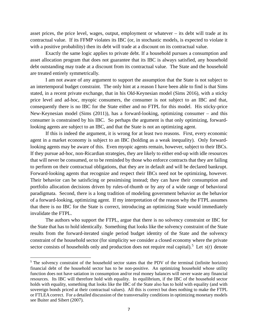asset prices, the price level, wages, output, employment or whatever – its debt will trade at its contractual value. If its FFMP violates its IBC (or, in stochastic models, is expected to violate it with a positive probability) then its debt will trade at a discount on its contractual value.

Exactly the same logic applies to private debt. If a household pursues a consumption and asset allocation program that does not guarantee that its IBC is always satisfied, any household debt outstanding may trade at a discount from its contractual value. The State and the household are treated entirely symmetrically.

I am not aware of any argument to support the assumption that the State is not subject to an intertemporal budget constraint. The only hint at a reason I have been able to find is that Sims stated, in a recent private exchange, that in his Old-Keynesian model (Sims 2016), with a sticky price level and ad-hoc, myopic consumers, the consumer is not subject to an IBC and that, consequently there is no IBC for the State either and no FTPL for this model. His sticky-price New-Keynesian model (Sims (2011)), has a forward-looking, optimizing consumer – and this consumer is constrained by his IBC. So perhaps the argument is that only optimizing, forwardlooking agents are subject to an IBC, and that the State is not an optimizing agent.

If this is indeed the argument, it is wrong for at least two reasons. First, every economic agent in a market economy is subject to an IBC (holding as a weak inequality). Only forwardlooking agents may be aware of this. Even myopic agents remain, however, subject to their IBCs. If they pursue ad-hoc, non-Ricardian strategies, they are likely to either end-up with idle resources that will never be consumed, or to be reminded by those who enforce contracts that they are failing to perform on their contractual obligations, that they are in default and will be declared bankrupt. Forward-looking agents that recognize and respect their IBCs need not be optimizing, however. Their behavior can be satisficing or pessimising instead; they can have their consumption and portfolio allocation decisions driven by rules-of-thumb or by any of a wide range of behavioral paradigmata. Second, there is a long tradition of modeling government behavior as the behavior of a forward-looking, optimizing agent. If my interpretation of the reason why the FTPL assumes that there is no IBC for the State is correct, introducing an optimizing State would immediately invalidate the FTPL.

The authors who support the FTPL, argue that there is no solvency constraint or IBC for the State that has to hold identically. Something that looks like the solvency constraint of the State results from the forward-iterated single period budget identity of the State and the solvency constraint of the household sector (for simplicity we consider a closed economy where the private sector consists of households only and production does not require real capital).<sup>[5](#page-10-0)</sup> Let  $s(t)$  denote

<span id="page-10-0"></span><sup>&</sup>lt;sup>5</sup> The solvency constraint of the household sector states that the PDV of the terminal (infinite horizon) financial debt of the household sector has to be non-positive. An optimizing household whose utility function does not have satiation in consumption and/or real money balances will never waste any financial resources. Its IBC will therefore hold with equality. In equilibrium, if the IBC of the household sector holds with equality, something that looks like the IBC of the State also has to hold with equality (and with sovereign bonds priced at their contractual values). All this is correct but does nothing to make the FTPL or FTLEA correct. For a detailed discussion of the transversality conditions in optimizing monetary models see Buiter and Sibert (2007).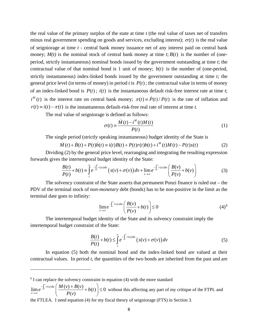the real value of the primary surplus of the state at time *t* (the real value of taxes net of transfers minus real government spending on goods and services, excluding interest);  $\sigma(t)$  is the real value of seigniorage at time *t* - central bank money issuance net of any interest paid on central bank money;  $M(t)$  is the nominal stock of central bank money at time  $t$ ;  $B(t)$  is the number of (oneperiod, strictly instantaneous) nominal bonds issued by the government outstanding at time *t*; the contractual value of that nominal bond is 1 unit of money;  $b(t)$  is the number of (one-period, strictly instantaneous) index-linked bonds issued by the government outstanding at time *t;* the general price level (in terms of money) in period *t* is  $P(t)$ ; the contractual value in terms of money of an index-linked bond is  $P(t)$ ;  $i(t)$  is the instantaneous default risk-free interest rate at time *t*;  $i^M(t)$  is the interest rate on central bank money;  $\pi(t) = \dot{P}(t)/P(t)$  is the rate of inflation and  $r(t) \equiv i(t) - \pi(t)$  is the instantaneous default-risk-free real rate of interest at time *t*.

The real value of seigniorage is defined as follows:

$$
\sigma(t) \equiv \frac{\dot{M}(t) - i^{M}(t)M(t)}{P(t)}
$$
\n(1)

The single period (strictly speaking instantaneous) budget identity of the State is

$$
\dot{M}(t) + \dot{B}(t) + P(t)\dot{b}(t) \equiv i(t)B(t) + P(t)r(t)\dot{b}(t) + i^{M}(t)M(t) - P(t)s(t)
$$
\n(2)

Dividing (2) by the general price level, rearranging and integrating the resulting expression forwards gives the intertemporal budget identity of the State:

$$
\frac{B(t)}{P(t)} + b(t) \equiv \int_{t}^{\infty} e^{-\int_{t}^{v} r(u) du} \left( s(v) + \sigma(v) \right) dv + \lim_{v \to \infty} e^{-\int_{t}^{v} r(u) du} \left( \frac{B(v)}{P(v)} + b(v) \right)
$$
(3)

The solvency constraint of the State asserts that permanent Ponzi finance is ruled out – the PDV of the terminal stock of *non-monetary* debt (bonds) has to be non-positive in the limit as the terminal date goes to infinity:

$$
\lim_{\nu \to \infty} e^{-\int_t^{\nu} r(u) du} \left( \frac{B(\nu)}{P(\nu)} + b(t) \right) \le 0
$$
\n(4)<sup>6</sup>

The intertemporal budget identity of the State and its solvency constraint imply the intertemporal budget constraint of the State:

$$
\frac{B(t)}{P(t)} + b(t) \leq \int_{t}^{\infty} e^{-\int_{t}^{v} r(u) du} \left( s(v) + \sigma(v) \right) dv \tag{5}
$$

In equation (5) both the nominal bond and the index-linked bond are valued at their contractual values. In period *t*, the quantities of the two bonds are inherited from the past and are

<span id="page-11-0"></span> $6$  I can replace the solvency constraint in equation (4) with the more standard

 $\overline{a}$ 

 $\lim_{\nu \to \infty} e^{-\int_t^{\nu} r(u) du} \left( \frac{M(v) + B(v)}{P(v)} + b(t) \right) \leq 0$  $\int_t^t r(u) du$ *v*  $e^{-\int_t^v r(u)du} \left( \frac{M(v) + B(v)}{B(v)} \right) + b(t)$  $P(v)$ −  $\lim_{x\to\infty}e^{-\int_t^v r(u)du}\left(\frac{M(v)+B(v)}{P(v)}+b(t)\right)\leq$  $\left( P(v) \right)$ without this affecting any part of my critique of the FTPL and the FTLEA. I need equation (4) for my fiscal theory of seigniorage (FTS) in Section 3.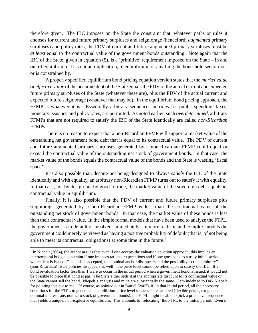therefore given. The IBC imposes on the State the constraint that, whatever paths or rules it chooses for current and future primary surpluses and seigniorage (henceforth *augmented* primary surpluses) and policy rates, the PDV of current and future augmented primary surpluses must be *at least* equal to the contractual value of the government bonds outstanding. Note again that the IBC of the State, given in equation (5), is a 'primitive' requirement imposed on the State – in and out of equilibrium. It is not an implication, in equilibrium, of anything the household sector does or is constrained by.

A properly specified equilibrium bond pricing equation version states that the *market value*  or *effective value* of the net bond debt of the State equals the PDV of the actual current and expected future primary surpluses of the State (whatever these are), plus the PDV of the actual current and expected future seigniorage (whatever that may be). In the equilibrium bond pricing approach, the FFMP is whatever it is. Essentially arbitrary sequences or rules for public spending, taxes, monetary issuance and policy rates, are permitted. As noted earlier, such *overdetermined,* arbitrary FFMPs that are not required to satisfy the IBC of the State identically are called *non-Ricardian* FFMPs.

There is no reason to expect that a non-Ricardian FFMP will support a market value of the outstanding net government bond debt that is equal to its contractual value. The PDV of current and future augmented primary surpluses generated by a non-Ricardian FFMP could equal or *exceed* the contractual value of the outstanding net stock of government bonds. In that case, the market value of the bonds equals the contractual value of the bonds and the State is wasting 'fiscal space'.

It is also possible that, despite not being designed to always satisfy the IBC of the State identically and with equality, an arbitrary non-Ricardian FFMP turns out to satisfy it with equality. In that case, not by design but by good fortune, the market value of the sovereign debt equals its contractual value in equilibrium.

Finally, it is also possible that the PDV of current and future primary surpluses plus seigniorage generated by a non-Ricardian FFMP is less than the contractual value of the outstanding net stock of government bonds. In that case, the market value of these bonds is less than their contractual value. In the simple formal models that have been used to analyze the FTPL, the government is in default or insolvent immediately. In more realistic and complex models the government could merely be viewed as having a positive probability of default (that is, of not being able to meet its contractual obligations) at some time in the future.[7](#page-12-0)

 $\overline{\phantom{a}}$ 

<span id="page-12-0"></span> $<sup>7</sup>$  In Niepelt (2004), the author argues that even if one accepts the valuation equation approach, this implies an</sup> intertemporal budget constraint if one imposes rational expectations and if one goes back to a truly initial period where debt is issued. Once this is accepted, the nominal anchor disappears and the possibility to run "arbitrary" (non-Ricardian) fiscal policies disappears as well—the price level cannot be relied upon to satisfy the IBC. If a bond revaluation factor less than 1 were to occur in the initial period when a government bond is issued, it would not be possible to price that bond at par. The State either sells it at the appropriate discount to its contractual value or the State cannot sell the bond. Niepelt's analysis and mine are substantially the same. I am indebted to Dirk Niepelt for pointing this out to me. Of course, as pointed out in Daniel (2007), if, in that initial period, all the necessary conditions for the FTPL to generate an equilibrium price level sequence are satisfied (flexible prices, exogenous nominal interest rate, non-zero stock of government bonds), the FTPL might be able to pick a price level sequence that yields a unique, non-explosive equilibrium. This amounts to 'relocating' the FTPL to the initial period. Even if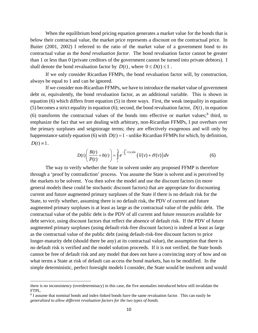When the equilibrium bond pricing equation generates a market value for the bonds that is below their contractual value, the market price represents a discount on the contractual price. In Buiter (2001, 2002) I referred to the ratio of the market value of a government bond to its contractual value as the *bond revaluation factor*. The bond revaluation factor cannot be greater than 1 or less than 0 (private creditors of the government cannot be turned into private debtors). I shall denote the bond revaluation factor by  $D(t)$ , where  $0 \le D(t) \le 1$ .

If we only consider Ricardian FFMPs, the bond revaluation factor will, by construction, always be equal to 1 and can be ignored.

If we consider non-Ricardian FFMPs, we have to introduce the market value of government debt or, equivalently, the bond revaluation factor, as an additional variable. This is shown in equation (6) which differs from equation (5) in three ways. First, the weak inequality in equation (5) becomes a strict equality in equation (6); second, the bond revaluation factor,  $D(t)$ , in equation (6) transforms the contractual values of the bonds into effective or market values; $^8$  $^8$  third, to emphasize the fact that we are dealing with arbitrary, non-Ricardian FFMPs, I put overbars over the primary surpluses and seigniorage terms; they are effectively exogenous and will only by happenstance satisfy equation (6) with  $D(t) = 1$  - unlike Ricardian FFMPs for which, by definition,  $D(t) \equiv 1$ .

$$
D(t)\left(\frac{B(t)}{P(t)} + b(t)\right) = \int_{t}^{\infty} e^{-\int_{t}^{v} r(u)du} \left(\overline{s}(v) + \overline{\sigma}(v)\right) dv
$$
 (6)

The way to verify whether the State in solvent under any proposed FFMP is therefore through a 'proof by contradiction' process. You assume the State is solvent and is perceived by the markets to be solvent. You then solve the model and use the discount factors (in more general models these could be stochastic discount factors) that are appropriate for discounting current and future augmented primary surpluses of the State if there is no default risk for the State, to verify whether, assuming there is no default risk, the PDV of current and future augmented primary surpluses is at least as large as the contractual value of the public debt. The contractual value of the public debt is the PDV of all current and future resources available for debt service, using discount factors that reflect the absence of default risk. If the PDV of future augmented primary surpluses (using default-risk-free discount factors) is indeed at least as large as the contractual value of the public debt (using default-risk-free discount factors to price longer-maturity debt (should there be any) at its contractual value), the assumption that there is no default risk is verified and the model solution proceeds. If it is not verified, the State bonds cannot be free of default risk and any model that does not have a convincing story of how and on what terms a State at risk of default can access the bond markets, has to be modified. In the simple deterministic, perfect foresight models I consider, the State would be insolvent and would

l

there is no inconsistency (overdeterminacy) in this case, the five anomalies introduced below still invalidate the FTPL.

<span id="page-13-0"></span><sup>8</sup> I assume that nominal bonds and index-linked bonds have the same revaluation factor. This can easily be *generalized to allow different revaluation factors for the two types of bonds.*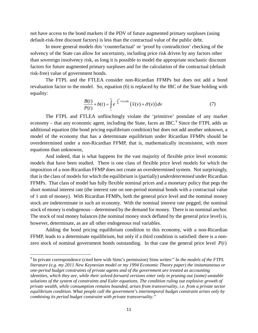not have access to the bond markets if the PDV of future augmented primary surpluses (using default-risk-free discount factors) is less than the contractual value of the public debt.

In more general models this 'counterfactual' or 'proof by contradiction' checking of the solvency of the State can allow for uncertainty, including price risk driven by any factors other than sovereign insolvency risk, as long it is possible to model the appropriate stochastic discount factors for future augmented primary surpluses and for the calculation of the contractual (default risk-free) value of government bonds.

The FTPL and the FTLEA consider non-Ricardian FFMPs but does not add a bond revaluation factor to the model. So, equation (6) is replaced by the IBC of the State holding with equality:

$$
\frac{B(t)}{P(t)} + b(t) = \int_{t}^{\infty} e^{-\int_{t}^{v} r(u) du} \left(\overline{s}(v) + \overline{\sigma}(v)\right) dv \tag{7}
$$

The FTPL and FTLEA unflinchingly violate the 'primitive' postulate of any market economy – that any economic agent, including the State, faces an IBC. $9$  Since the FTPL adds an additional equation (the bond pricing equilibrium condition) but does not add another unknown, a model of the economy that has a determinate equilibrium under Ricardian FFMPs should be overdetermined under a non-Ricardian FFMP, that is, mathematically inconsistent, with more equations than unknowns,

And indeed, that is what happens for the vast majority of flexible price level economic models that have been studied. There is one class of flexible price level models for which the imposition of a non-Ricardian FFMP does not create an overdetermined system. Not surprisingly, that is the class of models for which the equilibrium is (partially) *underdetermined* under Ricardian FFMPs. That class of model has fully flexible nominal prices and a monetary policy that pegs the short nominal interest rate (the interest rate on one-period nominal bonds with a contractual value of 1 unit of money). With Ricardian FFMPs, both the general price level and the nominal money stock are indeterminate in such an economy. With the nominal interest rate pegged, the nominal stock of money is endogenous – determined by the demand for money. There is no nominal anchor. The stock of real money balances (the nominal money stock deflated by the general price level) is, however, determinate, as are all other endogenous real variables.

Adding the bond pricing equilibrium condition to this economy, with a non-Ricardian FFMP, leads to a determinate equilibrium, but only if a third condition is satisfied: there is a nonzero stock of nominal government bonds outstanding. In that case the general price level  $P(t)$ 

 $\overline{a}$ 

<span id="page-14-0"></span><sup>9</sup> In private correspondence (cited here with Sims's permission) Sims writes:" In *the models of the FTPL literature (e.g. my 2011 New Keynesian model or my 1994 Economic Theory paper) the instantaneous or one-period budget constraints of private agents and of the government are treated as accounting identities, which they are, while their solved-forward versions enter only in pruning out (some) unstable solutions of the system of constraints and Euler equations. The condition ruling out explosive growth of private wealth, while consumption remains bounded, arises from transversality, i.e. from a private sector equilibrium condition. What people call the government's intertemporal budget constraint arises only by combining its period budget constraint with private transversality."*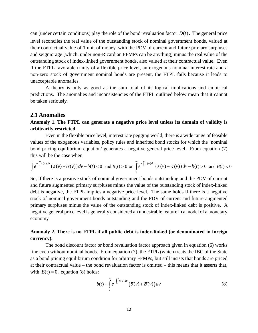can (under certain conditions) play the role of the bond revaluation factor  $D(t)$ . The general price level reconciles the real value of the outstanding stock of nominal government bonds, valued at their contractual value of 1 unit of money, with the PDV of current and future primary surpluses and seigniorage (which, under non-Ricardian FFMPs can be anything) minus the real value of the outstanding stock of index-linked government bonds, also valued at their contractual value. Even if the FTPL-favorable trinity of a flexible price level, an exogenous nominal interest rate and a non-zero stock of government nominal bonds are present, the FTPL fails because it leads to unacceptable anomalies.

A theory is only as good as the sum total of its logical implications and empirical predictions. The anomalies and inconsistencies of the FTPL outlined below mean that it cannot be taken seriously.

#### **2.1 Anomalies**

#### **Anomaly 1. The FTPL can generate a negative price level unless its domain of validity is arbitrarily restricted.**

Even in the flexible price level, interest rate pegging world, there is a wide range of feasible values of the exogenous variables, policy rules and inherited bond stocks for which the 'nominal bond pricing equilibrium equation' generates a negative general price level. From equation (7) this will be the case when

$$
\int_{t}^{\infty} e^{-\int_{t}^{v} r(u) du} \left( \overline{s}(v) + \overline{\sigma}(v) \right) dv - b(t) < 0 \text{ and } B(t) > 0 \text{ or } \int_{t}^{\infty} e^{-\int_{t}^{v} r(u) du} \left( \overline{s}(v) + \overline{\sigma}(v) \right) dv - b(t) > 0 \text{ and } B(t) < 0
$$

So, if there is a positive stock of nominal government bonds outstanding and the PDV of current and future augmented primary surpluses minus the value of the outstanding stock of index-linked debt is negative, the FTPL implies a negative price level. The same holds if there is a negative stock of nominal government bonds outstanding and the PDV of current and future augmented primary surpluses minus the value of the outstanding stock of index-linked debt is positive. A negative general price level is generally considered an undesirable feature in a model of a monetary economy.

#### **Anomaly 2. There is no FTPL if all public debt is index-linked (or denominated in foreign currency).**

The bond discount factor or bond revaluation factor approach given in equation (6) works fine even without nominal bonds. From equation (7), the FTPL (which treats the IBC of the State as a bond pricing equilibrium condition for arbitrary FFMPs, but still insists that bonds are priced at their contractual value – the bond revaluation factor is omitted – this means that it asserts that, with  $B(t) = 0$ , equation (8) holds:

$$
b(t) = \int_{t}^{\infty} e^{-\int_{t}^{v} r(u) du} \left( \overline{s}(v) + \overline{\sigma}(v) \right) dv
$$
 (8)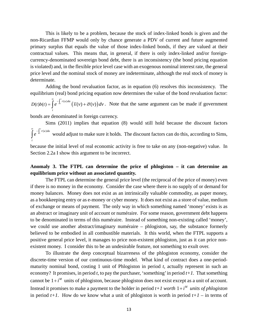This is likely to be a problem, because the stock of index-linked bonds is given and the non-Ricardian FFMP would only by chance generate a PDV of current and future augmented primary surplus that equals the value of those index-linked bonds, if they are valued at their contractual values. This means that, in general, if there is only index-linked and/or foreigncurrency-denominated sovereign bond debt, there is an inconsistency (the bond pricing equation is violated) and, in the flexible price level case with an exogenous nominal interest rate, the general price level and the nominal stock of money are indeterminate, although the real stock of money is determinate.

Adding the bond revaluation factor, as in equation (6) resolves this inconsistency. The equilibrium (real) bond pricing equation now determines the value of the bond revaluation factor:  $(t)b(t) = \int e^{-\int_t^t r(u)du} \left( \overline{s}(v) + \overline{\sigma}(v) \right)$ *v*  $D(t)b(t) = \int e^{-\int_t^T r(u)du} \left(\overline{s}(v) + \overline{\sigma}(v)\right)dv$ *t*  $=\int_{0}^{\infty}e^{-\int_{t}^{v}r(u)du}(\overline{s}(v)+\overline{\sigma}(v))dv$ . Note that the same argument can be made if government

bonds are denominated in foreign currency.

Sims (2011) implies that equation (8) would still hold because the discount factors  $\int_t^v r(u) du$ *t*  $\int_0^{\infty} e^{-\int_t^v r(u)du}$  would adjust to make sure it holds. The discount factors can do this, according to Sims, because the initial level of real economic activity is free to take on any (non-negative) value. In

Section 2.2a I show this argument to be incorrect.

## **Anomaly 3. The FTPL can determine the price of phlogiston – it can determine an equilibrium price without an associated quantity.**

The FTPL can determine the general price level (the reciprocal of the price of money) even if there is no money in the economy. Consider the case where there is no supply of or demand for money balances. Money does not exist as an intrinsically valuable commodity, as paper money, as a bookkeeping entry or as e-money or cyber money. It does not exist as a store of value, medium of exchange or means of payment. The only way in which something named 'money' exists is as an abstract or imaginary unit of account or numéraire. For some reason, government debt happens to be denominated in terms of this numéraire. Instead of something non-existing called 'money', we could use another abstract/imaginary numéraire – phlogiston, say, the substance formerly believed to be embodied in all combustible materials. It this world, when the FTPL supports a positive general price level, it manages to price non-existent phlogiston, just as it can price nonexistent money. I consider this to be an undesirable feature, not something to exult over.

To illustrate the deep conceptual bizarreness of the phlogiston economy, consider the discrete-time version of our continuous-time model. What kind of contract does a one-periodmaturity nominal bond, costing 1 unit of Phlogiston in period *t*, actually represent in such an economy? It promises, in period *t*, to pay the purchaser, 'something' in period  $t+1$ . That something cannot be  $1 + i^M$  units of phlogiston, because phlogiston does not exist except as a unit of account. Instead it promises to make a payment to the holder in period  $t+1$  *worth*  $1+i^M$  *units of phlogiston* in period  $t+1$ . How do we know what a unit of phlogiston is worth in period  $t+1$  – in terms of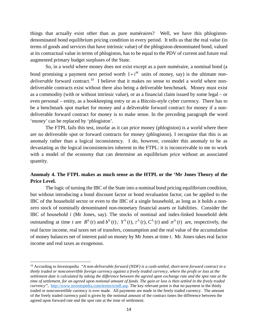things that actually exist other than as pure numéraires? Well, we have this phlogistondenominated bond equilibrium pricing condition in every period. It tells us that the real value (in terms of goods and services that have intrinsic value) of the phlogiston-denominated bond, valued at its contractual value in terms of phlogiston, has to be equal to the PDV of current and future real augmented primary budget surpluses of the State.

So, in a world where money does not exist except as a pure numéraire, a nominal bond (a bond promising a payment next period worth  $1 + i^M$  units of money, say) is the ultimate *nondeliverable* forward contract.<sup>10</sup> I believe that it makes no sense to model a world where nondeliverable contracts exist without there also being a deliverable benchmark. Money must exist as a commodity (with or without intrinsic value), or as a financial claim issued by some legal – or even personal – entity, as a bookkeeping entry or as a Bitcoin-style cyber currency. There has to be a benchmark spot market for money and a deliverable forward contract for money if a nondeliverable forward contract for money is to make sense. In the preceding paragraph the word 'money' can be replaced by 'phlogiston'.

The FTPL fails this test, insofar as it can price money (phlogiston) is a world where there are no deliverable spot or forward contracts for money (phlogiston). I recognize that this is an anomaly rather than a logical inconsistency. I do, however, consider this anomaly to be as devastating as the logical inconsistencies inherent in the FTPL: it is inconceivable to me to work with a model of the economy that can determine an equilibrium price without an associated quantity.

## **Anomaly 4. The FTPL makes as much sense as the HTPL or the 'Mr Jones Theory of the Price Level.**

The logic of turning the IBC of the State into a nominal bond pricing equilibrium condition, but without introducing a bond discount factor or bond revaluation factor, can be applied to the IBC of the household sector or even to the IBC of a single household, as long as it holds a nonzero stock of nominally denominated non-monetary financial assets or liabilities. Consider the IBC of household *i* (Mr Jones, say). The stocks of nominal and index-linked household debt outstanding at time *t* are  $B^{h_i}(t)$  and  $b^{h_i}(t)$ ;  $Y^{h_i}(t)$ ,  $\tau^{h_i}(t)$ ,  $C^{h_i}(t)$  and  $\sigma^{h_i}(t)$  are, respectively, the real factor income, real taxes net of transfers, consumption and the real value of the accumulation of money balances net of interest paid on money by Mr Jones at time *t*. Mr. Jones takes real factor income and real taxes as exogenous.

 $\overline{\phantom{a}}$ 

<span id="page-17-0"></span><sup>10</sup> According to Investopedia *"A non-deliverable forward (NDF) is a cash-settled, short-term forward contract in a [thinly traded](http://www.investopedia.com/terms/t/thinly-traded.asp) or nonconvertible foreign currency against a freely traded currency, where the profit or loss at the [settlement date](http://www.investopedia.com/terms/s/settlementdate.asp) is calculated by taking the difference between the agreed upon [exchange rate](http://www.investopedia.com/terms/e/exchangerate.asp) and th[e spot rate](http://www.investopedia.com/terms/s/spot_rate.asp) at the time of settlement, for an agreed upon notional amount of funds. The gain or loss is then settled in the freely traded currency"*, [http://www.investopedia.com/terms/n/ndf.asp.](http://www.investopedia.com/terms/n/ndf.asp) The key relevant point is that no payment in the thinly traded or nonconvertible currency is ever made. All payments are made in the freely traded currency. The amount of the freely traded currency paid is given by the notional amount of the contract times the difference between the agreed upon forward rate and the spot rate at the time of settlement.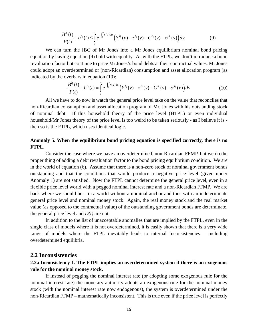$$
\frac{B^{h_i}(t)}{P(t)} + b^{h_i}(t) \leq \int\limits_t^{\infty} e^{-\int_t^{\nu} r(u) du} \left( Y^{h_i}(v) - \tau^{h_i}(v) - C^{h_i}(v) - \sigma^{h_i}(v) \right) dv \tag{9}
$$

We can turn the IBC of Mr Jones into a Mr Jones equilibrium nominal bond pricing equation by having equation (9) hold with equality. As with the FTPL, we don't introduce a bond revaluation factor but continue to price Mr Jones's bond debts at their contractual values. Mr Jones could adopt an overdetermined or (non-Ricardian) consumption and asset allocation program (as indicated by the overbars in equation (10):

$$
\frac{B^{h_i}(t)}{P(t)} + b^{h_i}(t) = \int\limits_t^{\infty} e^{-\int_t^{\nu} r(u) du} \left( Y^{h_i}(v) - \tau^{h_i}(v) - \overline{C}^{h_i}(v) - \overline{\sigma}^{h_i}(v) \right) dv \tag{10}
$$

All we have to do now is watch the general price level take on the value that reconciles that non-Ricardian consumption and asset allocation program of Mr. Jones with his outstanding stock of nominal debt. If this household theory of the price level (HTPL) or even individual household/Mr Jones theory of the price level is too weird to be taken seriously - as I believe it is then so is the FTPL, which uses identical logic.

### **Anomaly 5. When the equilibrium bond pricing equation is specified correctly, there is no FTPL.**

Consider the case where we have an overdetermined, non-Ricardian FFMP, but we do the proper thing of adding a debt revaluation factor to the bond pricing equilibrium condition. We are in the world of equation (6). Assume that there is a non-zero stock of nominal government bonds outstanding and that the conditions that would produce a negative price level (given under Anomaly 1) are not satisfied. Now the FTPL cannot determine the general price level, even in a flexible price level world with a pegged nominal interest rate and a non-Ricardian FFMP. We are back where we should be – in a world without a nominal anchor and thus with an indeterminate general price level and nominal money stock. Again, the real money stock and the real market value (as opposed to the contractual value) of the outstanding government bonds are determinate, the general price level and *D(t)* are not.

In addition to the list of unacceptable anomalies that are implied by the FTPL, even in the single class of models where it is not overdetermined, it is easily shown that there is a very wide range of models where the FTPL inevitably leads to internal inconsistencies – including overdetermined equilibria.

#### **2.2 Inconsistencies**

## **2.2a Inconsistency 1. The FTPL implies an overdetermined system if there is an exogenous rule for the nominal money stock.**

If instead of pegging the nominal interest rate (or adopting some exogenous rule for the nominal interest rate) the monetary authority adopts an exogenous rule for the nominal money stock (with the nominal interest rate now endogenous), the system is overdetermined under the non-Ricardian FFMP – mathematically inconsistent. This is true even if the price level is perfectly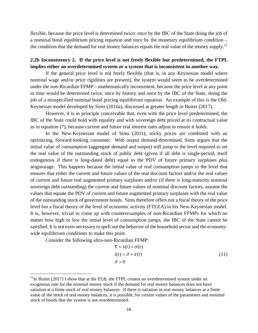flexible, because the price level is determined twice: once by the IBC of the State doing the job of a nominal bond equilibrium pricing equation and once by the monetary equilibrium condition – the condition that the demand for real money balances equals the real value of the money supply.<sup>[11](#page-19-0)</sup>

#### **2.2b Inconsistency 2. If the price level is not freely flexible but predetermined, the FTPL implies either an overdetermined system or a system that is inconsistent in another way.**

If the general price level is not freely flexible (that is, in any Keynesian model where nominal wage and/or price rigidities are present), the system would seem to be overdetermined under the non-Ricardian FFMP – mathematically inconsistent, because the price level at any point in time would be determined twice, once by history and once by the IBC of the State, doing the job of a misspecified nominal bond pricing equilibrium equation. An example of this is the Old-Keynesian model developed by Sims (2016a), discussed at greater length in Buiter (2017).

However, it is in principle conceivable that, even with the price level predetermined, the IBC of the State could hold with equality and with sovereign debt priced at its contractual value as in equation (7), because current and future real interest rates adjust to ensure it holds.

In the New-Keynesian model of Sims (2011), sticky prices are combined with an optimizing, forward-looking consumer. With output demand-determined, Sims argues that the initial value of consumption (aggregate demand and output) will jump to the level required to set the real value of the outstanding stock of public debt (given if all debt is single-period, itself endogenous if there is long-dated debt) equal to the PDV of future primary surpluses plus seigniorage. This happens because the initial value of real consumption jumps to the level that ensures that either the current and future values of the real discount factors and/or the real values of current and future real augmented primary surpluses and/or (if there is long-maturity nominal sovereign debt outstanding) the current and future values of nominal discount factors, assume the values that equate the PDV of current and future augmented primary surpluses with the real value of the outstanding stock of government bonds. Sims therefore offers not a fiscal theory of the price level but a fiscal theory of the level of economic activity (FTLEA) in his New-Keynesian model. It is, however, trivial to come up with counterexamples of non-Ricardian FFMPs for which no matter how high or low the initial level of consumption jumps, the IBC of the State cannot be satisfied. It is not even necessary to spell out the behavior of the household sector and the economywide equilibrium conditions to make this point.

Consider the following ultra-non-Ricardian FFMP:

 $\overline{\phantom{a}}$ 

$$
\overline{s} = s(t) + \sigma(t)
$$
  
\n
$$
i(t) = \delta + \pi(t)
$$
  
\n
$$
\delta > 0
$$
\n(11)

<span id="page-19-0"></span> $11$ In Buiter (2017) I show that at the ELB, the FTPL creates an overdetermined system under an exogenous rule for the nominal money stock if the demand for real money balances does not have satiation at a finite stock of real money balances. If there is satiation in real money balances at a finite value of the stock of real money balances, it is possible, for certain values of the parameters and nominal stock of bonds that the system is not overdetermined.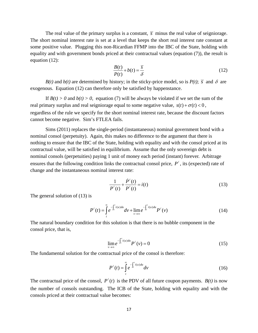The real value of the primary surplus is a constant,  $\overline{s}$  minus the real value of seigniorage. The short nominal interest rate is set at a level that keeps the short real interest rate constant at some positive value. Plugging this non-Ricardian FFMP into the IBC of the State, holding with equality and with government bonds priced at their contractual values (equation (7)), the result is equation (12):

$$
\frac{B(t)}{P(t)} + b(t) = \frac{\overline{s}}{\delta}
$$
 (12)

*B(t)* and *b(t)* are determined by history; in the sticky-price model, so is  $P(t)$ ;  $\overline{s}$  and  $\delta$  are exogenous. Equation (12) can therefore only be satisfied by happenstance.

If  $B(t) > 0$  and  $b(t) > 0$ , equation (7) will be always be violated if we set the sum of the real primary surplus and real seigniorage equal to some negative value,  $s(t) + \sigma(t) < 0$ , regardless of the rule we specify for the short nominal interest rate, because the discount factors cannot become negative. Sim's FTLEA fails.

Sims (2011) replaces the single-period (instantaneous) nominal government bond with a nominal consol (perpetuity). Again, this makes no difference to the argument that there is nothing to ensure that the IBC of the State, holding with equality and with the consol priced at its contractual value, will be satisfied in equilibrium. Assume that the only sovereign debt is nominal consols (perpetuities) paying 1 unit of money each period (instant) forever. Arbitrage ensures that the following condition links the contractual consol price,  $P^{\ell}$ , its (expected) rate of change and the instantaneous nominal interest rate:

$$
\frac{1}{P^{\ell}(t)} + \frac{\dot{P}^{\ell}(t)}{P^{\ell}(t)} = i(t)
$$
\n(13)

The general solution of (13) is

$$
P^{\ell}(t) = \int_{t}^{\infty} e^{-\int_{t}^{v} i(u) du} dv + \lim_{v \to \infty} e^{-\int_{t}^{v} i(u) du} P^{\ell}(v)
$$
 (14)

The natural boundary condition for this solution is that there is no bubble component in the consol price, that is,

$$
\lim_{\nu \to \infty} e^{-\int_t^{\nu} i(u) du} P^{\ell}(\nu) = 0 \tag{15}
$$

The fundamental solution for the contractual price of the consol is therefore:

$$
P^{\ell}(t) = \int_{t}^{\infty} e^{-\int_{t}^{v} i(u) du} dv
$$
 (16)

The contractual price of the consol,  $P^{\ell}(t)$  is the PDV of all future coupon payments.  $B(t)$  is now the number of consols outstanding. The ICB of the State, holding with equality and with the consols priced at their contractual value becomes: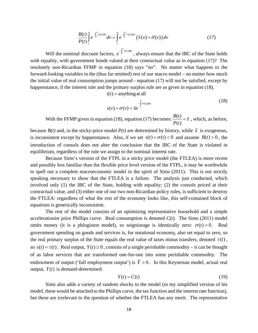$$
\frac{B(t)}{P(t)}\int_{t}^{\infty}e^{-\int_{t}^{v}i(u)du}dv = \int_{t}^{\infty}e^{-\int_{t}^{v}r(u)du}\left(\overline{s}(v) + \overline{\sigma}(v)\right)dv\tag{17}
$$

Will the nominal discount factors,  $e^{-\int_t^y i(u)}$  $e^{-\int_t^t i(u)du}$ , always ensure that the IBC of the State holds with equality, with government bonds valued at their contractual value as in equation (17)? The resolutely non-Ricardian FFMP in equation (18) says "no". No matter what happens to the forward-looking variables in the (thus far omitted) rest of our macro model – no matter how much the initial value of real consumption jumps around - equation (17) will not be satisfied, except by happenstance, if the interest rule and the primary surplus rule are as given in equation (18).

 $i(t)$  = anything at all

$$
s(v) + \sigma(v) = \overline{se}^{-\int_{-t}^{v} \pi(u) du}
$$
\n(18)

With the FFMP given in equation (18), equation (17) becomes:  $\frac{B(t)}{B(t)}$  $(t)$  $\frac{B(t)}{P(t)} = \overline{s}$ , which, as before,

because  $B(t)$  and, in the sticky-price model  $P(t)$  are determined by history, while  $\overline{s}$  is exogenous, is inconsistent except by happenstance. Also, if we set  $s(t) + \sigma(t) < 0$  and assume  $B(t) > 0$ , the introduction of consols does not alter the conclusion that the IBC of the State is violated in equilibrium, regardless of the rule we assign to the nominal interest rate.

Because Sims's version of the FTPL in a sticky price model (the FTLEA) is more recent and possibly less familiar than the flexible price level version of the FTPL, it may be worthwhile to spell out a complete macroeconomic model in the spirit of Sims (2011). This is not strictly speaking necessary to show that the FTLEA is a failure. The analysis just conducted, which involved only (1) the IBC of the State, holding with equality; (2) the consols priced at their contractual value, and (3) either one of our two non-Ricardian policy rules, is sufficient to destroy the FTLEA: regardless of what the rest of the economy looks like, this self-contained block of equations is generically inconsistent.

The rest of the model consists of an optimizing representative household and a simple accelerationist price Phillips curve. Real consumption is denoted  $C(t)$ . The Sims (2011) model omits money (it is a phlogiston model), so seigniorage is identically zero:  $\sigma(t) = 0$ . Real government spending on goods and services is, for notational economy, also set equal to zero, so the real primary surplus of the State equals the real value of taxes minus transfers, denoted  $\tau(t)$ , so  $s(t) = \tau(t)$ . Real output,  $Y(t) \ge 0$ , consists of a single perishable commodity – it can be thought of as labor services that are transformed one-for-one into some perishable commodity. The endowment of output ('full employment output') is  $\overline{Y} > 0$ . In this Keynesian model, actual real output,  $Y(t)$  is demand-determined:

$$
Y(t) = C(t) \tag{19}
$$

Sims also adds a variety of random shocks to the model (in my simplified version of his model, these would be attached to the Phillips curve, the tax function and the interest rate function), but these are irrelevant to the question of whether the FTLEA has any merit. The representative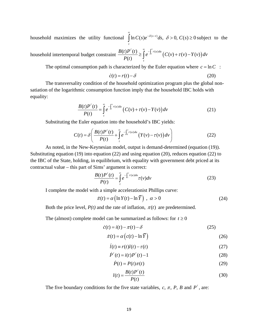household maximizes the utility functional  $\int \ln C(s) e^{-\delta(s-t)} ds$ ,  $\delta > 0$ ,  $C(s) \ge 0$ *t*  $C(s)e^{-\delta(s-t)}ds, \ \delta > 0, C(s)$ ∞  $\int \ln C(s)e^{-\delta(s-t)}ds$ ,  $\delta > 0$ ,  $C(s) \ge 0$  subject to the

household intertemporal budget constraint  $\frac{B(t)P^{i}(t)}{P(t)} \geq \int_{t}^{\infty} e^{-\int_{t}^{v} r(u)du} (C(v) + \tau(v) - Y(v))$ *v*  $\int_t^t r(u) du$ *t*  $\frac{B(t)P^{\ell}(t)}{P(\ell)} \geq \int_{0}^{\infty} e^{-\int_{t}^{V} r(u)du} \left(C(v) + \tau(v) - Y(v)\right)dv$  $\frac{f}{P(t)}P^{\ell}(t) \geq \int_{t}^{\infty} e^{-\int_{t}^{v} r(u)du} (C(v) + \tau(v) -$ 

The optimal consumption path is characterized by the Euler equation where  $c = \ln C$ :

$$
\dot{c}(t) = r(t) - \delta \tag{20}
$$

The transversality condition of the household optimization program plus the global nonsatiation of the logarithmic consumption function imply that the household IBC holds with equality:

$$
\frac{B(t)P^{t}(t)}{P(t)} = \int_{t}^{\infty} e^{-\int_{t}^{v} r(u)du} \left( C(v) + \tau(v) - Y(v) \right) dv \tag{21}
$$

Substituting the Euler equation into the household's IBC yields:

$$
C(t) = \delta \left( \frac{B(t)P^{\ell}(t)}{P(t)} + \int_{t}^{\infty} e^{-\int_{0}^{v} r(u)du} \left( Y(v) - \tau(v) \right) dv \right)
$$
(22)

As noted, in the New-Keynesian model, output is demand-determined (equation (19)). Substituting equation (19) into equation (22) and using equation (20), reduces equation (22) to the IBC of the State, holding, in equilibrium, with equality with government debt priced at its contractual value – this part of Sims' argument is correct:

$$
\frac{B(t)P^{\ell}(t)}{P(t)} = \int_{t}^{\infty} e^{-\int_{t}^{v} r(u)du} \tau(v)dv
$$
\n(23)

I complete the model with a simple accelerationist Phillips curve:

$$
\dot{\pi}(t) = \alpha \left( \ln Y(t) - \ln \overline{Y} \right) , \ \alpha > 0 \tag{24}
$$

Both the price level,  $P(t)$  and the rate of inflation,  $\pi(t)$  are predetermined.

The (almost) complete model can be summarized as follows: for  $t \ge 0$ 

$$
\dot{c}(t) = i(t) - \pi(t) - \delta \tag{25}
$$

$$
\dot{\pi}(t) = \alpha \left( c(t) - \ln \overline{Y} \right) \tag{26}
$$

$$
\dot{l}(t) \equiv r(t)l(t) - \tau(t) \tag{27}
$$

$$
\dot{P}^{e}(t) = i(t)P^{e}(t) - 1
$$
\n(28)

$$
\dot{P}(t) = P(t)\pi(t) \tag{29}
$$

$$
l(t) = \frac{B(t)P^{\ell}(t)}{P(t)}
$$
\n(30)

The five boundary conditions for the five state variables,  $c, \pi, P, B$  and  $P^{\ell}$ , are: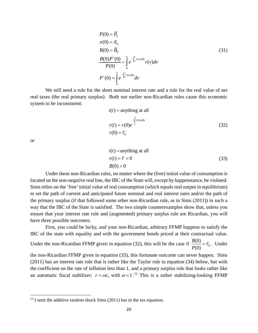$$
P(0) = \overline{P}_0
$$
  
\n
$$
\pi(0) = \overline{\pi}_0
$$
  
\n
$$
B(0) = \overline{B}_0
$$
  
\n
$$
\frac{B(0)P^{i}(0)}{P(0)} = \int_{0}^{\infty} e^{-\int_{0}^{v_r(u)du} \tau(v)dv}
$$
  
\n
$$
P^{i}(0) = \int_{0}^{\infty} e^{-\int_{0}^{v_i(u)du} dv} dv
$$
\n(31)

We still need a rule for the short nominal interest rate and a rule for the real value of net real taxes (the real primary surplus). Both our earlier non-Ricardian rules cause this economic system to be inconsistent:

$$
i(t) = \text{anything at all}
$$
  
\n
$$
-\int_{0}^{t} \tau(u) du
$$
  
\n
$$
\tau(t) = \tau(0)e^{-\int_{0}^{t} \tau(u) du}
$$
\n(32)

or

l

$$
i(t) = \text{anything at all}
$$
  
\n
$$
\tau(t) = \overline{\tau} < 0
$$
  
\n
$$
B(0) > 0
$$
\n(33)

Under these non-Ricardian rules, no matter where the (free) initial value of consumption is located on the non-negative real line, the IBC of the State will, except by happenstance, be violated. Sims relies on the 'free' initial value of real consumption (which equals real output in equilibrium) to set the path of current and anticipated future nominal and real interest rates and/or the path of the primary surplus (if that followed some other non-Ricardian rule, as in Sims (2011)) in such a way that the IBC of the State is satisfied. The two simple counterexamples show that, unless you ensure that your interest rate rule and (augmented) primary surplus rule are Ricardian, you will have three possible outcomes.

First, you could be lucky, and your non-Ricardian, arbitrary FFMP happens to satisfy the IBC of the state with equality and with the government bonds priced at their contractual value.

Under the non-Ricardian FFMP given in equation (32), this will be the case if  $\frac{B(0)}{B(0)} = \overline{\tau}_0$ (0)  $\frac{B(0)}{P(0)} = \overline{\tau}_0$ . Under

the non-Ricardian FFMP given in equation (33), this fortunate outcome can never happen. Sims (2011) has an interest rate rule that is rather like the Taylor rule in equation (34) below, but with the coefficient on the rate of inflation less than 1, and a primary surplus rule that looks rather like an automatic fiscal stabilizer:  $\tau = \omega c$ , with  $\omega = 1$ .<sup>[12](#page-23-0)</sup> This is a rather stabilizing-looking FFMP

<span id="page-23-0"></span> $12$  I omit the additive random shock Sims (2011) has in the tax equation.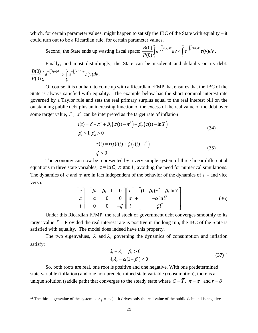which, for certain parameter values, might happen to satisfy the IBC of the State with equality – it could turn out to be a Ricardian rule, for certain parameter values.

Second, the State ends up wasting fiscal space:  $\frac{B(0)}{B(0)}\int_{0}^{1}e^{-\int_{0}^{1}(u)du}dv < \int_{0}^{1}e^{-\int_{0}^{1}(u)dv}dv$  $\frac{B(0)}{P(0)}\int_{0}^{\infty}e^{-\int_{0}^{v}i(u)du}dv < \int_{0}^{\infty}e^{-\int_{0}^{v}r(u)du}\tau(v)dv$  $\frac{B(0)}{P(0)}\int_{0}^{\infty}e^{-\int_{0}^{v}i(u)du}dv < \int_{0}^{\infty}e^{-\int_{0}^{v}r(u)du}\tau(v)dv.$ 

Finally, and most disturbingly, the State can be insolvent and defaults on its debt:  $0^{i(u)du} \sim \int e^{-\int_0^t r(u)}$  $\frac{B(0)}{P(0)}\int_{0}^{\infty}e^{-\int_{0}^{v}i(u)du} > \int_{0}^{\infty}e^{-\int_{0}^{v}r(u)du}\tau(v)dv$  $\frac{B(0)}{P(0)}\int_{0}^{\infty}e^{-\int_{0}^{v}i(u)du} > \int_{0}^{\infty}e^{-\int_{0}^{v}r(u)du}\tau(v)dv$ .

Of course, it is not hard to come up with a Ricardian FFMP that ensures that the IBC of the State is always satisfied with equality. The example below has the short nominal interest rate governed by a Taylor rule and sets the real primary surplus equal to the real interest bill on the outstanding public debt plus an increasing function of the excess of the real value of the debt over some target value,  $l^*$ ;  $\pi^*$  can be interpreted as the target rate of inflation

$$
i(t) = \delta + \pi^* + \beta_1 \left( \pi(t) - \pi^* \right) + \beta_2 \left( c(t) - \ln \overline{Y} \right)
$$
  
\n
$$
\beta_1 > 1, \beta_2 > 0
$$
  
\n
$$
\tau(t) = r(t)l(t) + \zeta \left( l(t) - l^* \right)
$$
  
\n
$$
\zeta > 0
$$
\n(35)

The economy can now be represented by a very simple system of three linear differential equations in three state variables,  $c \equiv \ln C$ ,  $\pi$  and l, avoiding the need for numerical simulations. The dynamics of c and  $\pi$  are in fact independent of the behavior of the dynamics of  $l$  – and vice versa.

$$
\begin{bmatrix} \dot{c} \\ \dot{\pi} \\ \dot{t} \end{bmatrix} = \begin{bmatrix} \beta_2 & \beta_1 - 1 & 0 \\ \alpha & 0 & 0 \\ 0 & 0 & -\zeta \end{bmatrix} \begin{bmatrix} c \\ \pi \\ t \end{bmatrix} + \begin{bmatrix} (1 - \beta_1)\pi^* - \beta_2 \ln \overline{Y} \\ -\alpha \ln \overline{Y} \\ \zeta t^* \end{bmatrix}
$$
(36)

Under this Ricardian FFMP, the real stock of government debt converges smoothly to its target value  $l^*$ . Provided the real interest rate is positive in the long run, the IBC of the State is satisfied with equality. The model does indeed have this property.

The two eigenvalues,  $\lambda_1$  and  $\lambda_2$  governing the dynamics of consumption and inflation satisfy:

$$
\lambda_1 + \lambda_2 = \beta_2 > 0 \n\lambda_1 \lambda_2 = \alpha (1 - \beta_1) < 0
$$
\n(37)<sup>13</sup>

So, both roots are real, one root is positive and one negative. With one predetermined state variable (inflation) and one non-predetermined state variable (consumption), there is a unique solution (saddle path) that converges to the steady state where  $C = \overline{Y}$ ,  $\pi = \pi^*$  and  $r = \delta$ 

 $\overline{a}$ 

<span id="page-24-0"></span><sup>&</sup>lt;sup>13</sup> The third eigenvalue of the system is  $\lambda_3 = -\zeta$ . It drives only the real value of the public debt and is negative.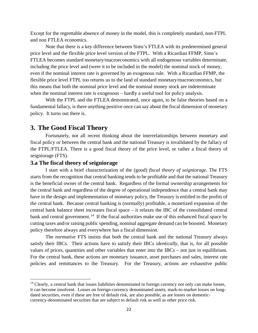Except for the regrettable absence of money in the model, this is completely standard, non-FTPL and non FTLEA economics.

Note that there is a key difference between Sims's FTLEA with its predetermined general price level and the flexible price level version of the FTPL. With a Ricardian FFMP, Sims's FTLEA becomes standard monetary/macroeconomics with all endogenous variables determinate, including the price level and (were it to be included in the model) the nominal stock of money, even if the nominal interest rate is governed by an exogenous rule. With a Ricardian FFMP, the flexible price level FTPL too returns us to the land of standard monetary/macroeconomics, but this means that both the nominal price level and the nominal money stock are indeterminate when the nominal interest rate is exogenous – hardly a useful tool for policy analysis.

With the FTPL and the FTLEA demonstrated, once again, to be false theories based on a fundamental fallacy, is there anything positive once can say about the fiscal dimension of monetary policy. It turns out there is.

# **3. The Good Fiscal Theory**

Fortunately, not all recent thinking about the interrelationships between monetary and fiscal policy or between the central bank and the national Treasury is invalidated by the fallacy of the FTPL/FTLEA. There is a good fiscal theory of the price level, or rather a fiscal theory of seigniorage (FTS).

## **3.a The fiscal theory of seigniorage**

l

I start with a brief characterization of the (good) *fiscal theory of seigniorage*. The FTS starts from the recognition that central banking tends to be profitable and that the national Treasury is the beneficial owner of the central bank. Regardless of the formal ownership arrangements for the central bank and regardless of the degree of operational independence that a central bank may have in the design and implementation of monetary policy, the Treasury is entitled to the profits of the central bank. Because central banking is (normally) profitable, a monetized expansion of the central bank balance sheet increases fiscal space – it relaxes the IBC of the consolidated central bank and central government.<sup>[14](#page-25-0)</sup> If the fiscal authorities make use of this enhanced fiscal space by cutting taxes and/or raising public spending, nominal aggregate demand can be boosted. Monetary policy therefore always and everywhere has a fiscal dimension.

The *normative* FTS insists that both the central bank and the national Treasury always satisfy their IBCs. Their actions have to satisfy their IBCs *identically*, that is, for all possible values of prices, quantities and other variables that enter into the IBCs – not just in equilibrium. For the central bank, these actions are monetary issuance, asset purchases and sales, interest rate policies and remittances to the Treasury. For the Treasury, actions are exhaustive public

<span id="page-25-0"></span><sup>&</sup>lt;sup>14</sup> Clearly, a central bank that issues liabilities denominated in foreign currency not only can make losses, it can become insolvent. Losses on foreign-currency denominated assets, mark-to-market losses on longdated securities, even if these are free of default risk, are also possible, as are losses on domesticcurrency-denominated securities that are subject to default risk as well as other price risk.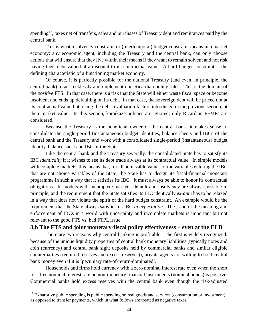spending<sup>15</sup>, taxes net of transfers, sales and purchases of Treasury debt and remittances paid by the central bank.

This is what a solvency constraint or (intertemporal) budget constraint means in a market economy: any economic agent, including the Treasury and the central bank, can only choose actions that will ensure that they live within their means if they want to remain solvent and not risk having their debt valued at a discount to its contractual value. A hard budget constraint is the defining characteristic of a functioning market economy.

Of course, it is perfectly possible for the national Treasury (and even, in principle, the central bank) to act recklessly and implement non-Ricardian policy rules. This is the domain of the *positive* FTS. In that case, there is a risk that the State will either waste fiscal space or become insolvent and ends up defaulting on its debt. In that case, the sovereign debt will be priced not at its contractual value but, using the debt revaluation factors introduced in the previous section, at their market value. In this section, kamikaze policies are ignored: only Ricardian FFMPs are considered.

Because the Treasury is the beneficial owner of the central bank, it makes sense to consolidate the single-period (instantaneous) budget identities, balance sheets and IBCs of the central bank and the Treasury and work with a consolidated single-period (instantaneous) budget identity, balance sheet and IBC of the State.

Like the central bank and the Treasury severally, the consolidated State has to satisfy its IBC *identically* if it wishes to see its debt trade always at its contractual value. In simple models with complete markets, this means that, for all admissible values of the variables entering the IBC that are not choice variables of the State, the State has to design its fiscal-financial-monetary programme in such a way that it satisfies its IBC. It must always be able to honor its contractual obligations. In models with incomplete markets, default and insolvency are always possible in principle, and the requirement that the State satisfies its IBC identically *ex-ante* has to be relaxed in a way that does not violate the spirit of the hard budget constraint. An example would be the requirement that the State always satisfies its IBC *in expectation*. The issue of the meaning and enforcement of IBCs in a world with uncertainty and incomplete markets is important but not relevant to the good FTS vs. bad FTPL issue.

## **3.b The FTS and joint monetary-fiscal policy effectiveness – even at the ELB**

There are two reasons why central banking is profitable. The first is widely recognized: because of the unique liquidity properties of central bank monetary liabilities (typically notes and coin (currency) and central bank sight deposits held by commercial banks and similar eligible counterparties (required reserves and excess reserves)), private agents are willing to hold central bank money even if it is 'pecuniary rate-of-return-dominated'.

Households and firms hold currency with a zero nominal interest rate even when the short risk-free nominal interest rate on non-monetary financial instruments (nominal bonds) is positive. Commercial banks hold excess reserves with the central bank even though the risk-adjusted

 $\overline{\phantom{a}}$ 

<span id="page-26-0"></span><sup>&</sup>lt;sup>15</sup> Exhaustive public spending is public spending on real goods and services (consumption or investment) as opposed to transfer payments, which in what follows are treated as negative taxes.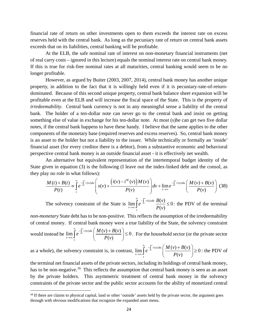financial rate of return on other investments open to them exceeds the interest rate on excess reserves held with the central bank. As long as the pecuniary rate of return on central bank assets exceeds that on its liabilities, central banking will be profitable.

At the ELB, the safe nominal rate of interest on non-monetary financial instruments (net of real carry costs – ignored in this lecture) equals the nominal interest rate on central bank money. If this is true for risk-free nominal rates at all maturities, central banking would seem to be no longer profitable.

However, as argued by Buiter (2003, 2007, 2014), central bank money has another unique property, in addition to the fact that it is willingly held even if it is pecuniary-rate-of-returndominated. Because of this second unique property, central bank balance sheet expansion will be profitable even at the ELB and will increase the fiscal space of the State. This is the property of *irredeemability*. Central bank currency is not in any meaningful sense a liability of the central bank. The holder of a ten-dollar note can never go to the central bank and insist on getting something else of value in exchange for his ten-dollar note. At most (s)he can get two five dollar notes, if the central bank happens to have these handy. I believe that the same applies to the other components of the monetary base (required reserves and excess reserves). So, central bank money is an asset to the holder but not a liability to the issuer. While technically or formally an 'inside' financial asset (for every creditor there is a debtor), from a substantive economic and behavioral perspective central bank money is an outside financial asset - it is effectively net wealth.

An alternative but equivalent representation of the intertemporal budget identity of the State given in equation (3) is the following (I leave out the index-linked debt and the consol, as they play no role in what follows):

$$
\frac{M(t) + B(t)}{P(t)} = \int_{t}^{\infty} e^{-\int_{t}^{v} r(u) du} \left( s(v) + \frac{\left(i(v) - i^{M}(v)\right)M(v)}{P(v)} \right) dv + \lim_{v \to \infty} e^{-\int_{t}^{v} r(u) du} \left( \frac{M(v) + B(v)}{P(v)} \right)
$$
(38)

The solvency constraint of the State is  $\lim_{n \to \infty} e^{-\int_{t}^{v} r(u) du} \frac{B(v)}{R(v)} \leq 0$  $(v)$ *v*  $\int_t^t r(u) du$  $\lim_{t\to\infty}$  *t*  $e^{-\int_t^v r(u)du} \frac{B(v)}{B(v)}$  $P(v)$ ∞<br>م  $\lim_{x\to\infty} \int e^{-\int_t^T r(u)du} \frac{B(v)}{P(v)} \leq 0$ : the PDV of the terminal

*non-monetary* State debt has to be non-positive. This reflects the assumption of the irredeemability of central money. If central bank money were a true liability of the State, the solvency constraint would instead be  $\lim_{h \to 0} \int_{0}^{\infty} e^{-\int_{t}^{v} r(u) du} \left( \frac{M(v) + B(v)}{R(v)} \right) \leq 0$  $(v)$ *v*  $\int_t^t r(u) du$  $\limsup_{t\to 0}$  $e^{-\int_t^v r(u)du} \left( \frac{M(v) + B(v)}{R(v)} \right)$  $P(v)$ <sup>∞</sup> <sup>−</sup>  $\lim_{\delta \to \infty} \int_{t}^{\infty} e^{-\int_{t}^{v} r(u) du} \left( \frac{M(v) + B(v)}{P(v)} \right) \leq 0$ . For the household sector (or the private sector

as a whole), the solvency constraint is, in contrast,  $\lim_{n \to \infty} \int_{0}^{\infty} e^{-\int_{t}^{v} r(u) du} \left( \frac{M(v) + B(v)}{R(v)} \right) \ge 0$  $(v)$ *v*  $\int_t^t r(u) du$  $\limsup_{t\to\infty}$  $e^{-\int_t^v r(u)du} \left( \frac{M(v) + B(v)}{B(v)} \right)$  $P(v)$ <sup>∞</sup> <sup>−</sup>  $\lim_{\substack{\longrightarrow \infty \\ t}} \int_{0}^{\infty} e^{-\int_{t}^{v} r(u) du} \left( \frac{M(v) + B(v)}{P(v)} \right) \ge 0$ : the PDV of

the terminal net financial assets of the private sectors, including its holdings of central bank money, has to be non-negative.<sup>16</sup> This reflects the assumption that central bank money is seen as an asset by the private holders. This asymmetric treatment of central bank money in the solvency constraints of the private sector and the public sector accounts for the ability of monetized central

<span id="page-27-0"></span><sup>&</sup>lt;sup>16</sup> If there are claims to physical capital, land or other 'outside' assets held by the private sector, the argument goes through with obvious modifications that recognize the expanded asset menu.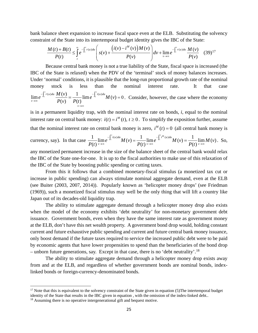bank balance sheet expansion to increase fiscal space even at the ELB. Substituting the solvency constraint of the State into its intertemporal budget identity gives the IBC of the State:

$$
\frac{M(t) + B(t)}{P(t)} \leq \int_{t}^{\infty} e^{-\int_{t}^{v} r(u) du} \left( s(v) + \frac{\left( i(v) - i^{M}(v) \right) M(v)}{P(v)} \right) dv + \lim_{v \to \infty} e^{-\int_{t}^{v} r(u) du} \frac{M(v)}{P(v)} \quad (39)^{17}
$$

Because central bank money is not a true liability of the State, fiscal space is increased (the IBC of the State is relaxed) when the PDV of the 'terminal' stock of money balances increases. Under 'normal' conditions, it is plausible that the long-run proportional growth rate of the nominal money stock is less than the nominal interest rate. It that case  $\lim_{v \to \infty} e^{-\int_t^v r(u) du} \frac{M(v)}{P(v)} = \frac{1}{P(t)} \lim e^{-\int_t^v i(u) du} M(v) = 0$  $\frac{d}{dt}$ <sup>*r*(*u*) du  $\frac{d}{dt}$   $\left(\frac{V}{V}\right)$   $-\frac{1}{\lim_{h \to 0} e^{-\int_{t}^{1} i(u) du}}$ </sup> *v v*  $e^{-\int_t^v r(u)du} \frac{M(v)}{N(v)} = \frac{1}{N(v)} \lim e^{-\int_t^v i(u)du} M(v)$  $P(v)$   $P(t)$  $r(u)du M(v)$   $1$   $\ldots$   $\lim_{\delta \to \infty} e^{-\int_t^{\delta} r(u) du} \frac{M(v)}{P(v)} = \frac{1}{P(t)} \lim_{\delta \to 0} e^{-\int_t^{\delta} i(u) du} M(v) = 0.$  Consider, however, the case where the economy →∞

is in a permanent liquidity trap, with the nominal interest rate on bonds, *i*, equal to the nominal interest rate on central bank money:  $i(t) = i^M(t)$ ,  $t \ge 0$ . To simplify the exposition further, assume that the nominal interest rate on central bank money is zero,  $i^M(t) = 0$  (all central bank money is

$$
\text{currency, say). In that case } \frac{1}{P(t)} \lim_{v \to \infty} e^{-\int_t^v i(u) du} M(v) = \frac{1}{P(t)} \lim_{v \to \infty} e^{-\int_t^v i^M(u) du} M(v) = \frac{1}{P(t)} \lim_{v \to \infty} M(v). \text{ So,}
$$

any monetized permanent increase in the size of the balance sheet of the central bank would relax the IBC of the State one-for-one. It is up to the fiscal authorities to make use of this relaxation of the IBC of the State by boosting public spending or cutting taxes.

From this it follows that a combined monetary-fiscal stimulus (a monetized tax cut or increase in public spending) can always stimulate nominal aggregate demand, even at the ELB (see Buiter (2003, 2007, 2014)). Popularly known as 'helicopter money drops' (see Friedman (1969)), such a monetized fiscal stimulus may well be the only thing that will lift a country like Japan out of its decades-old liquidity trap.

The ability to stimulate aggregate demand through a helicopter money drop also exists when the model of the economy exhibits 'debt neutrality' for non-monetary government debt issuance. Government bonds, even when they have the same interest rate as government money at the ELB, don't have this net wealth property. A government bond drop would, holding constant current and future exhaustive public spending and current and future central bank money issuance, only boost demand if the future taxes required to service the increased public debt were to be paid by economic agents that have lower propensities to spend than the beneficiaries of the bond drop – unborn future generations, say. Except in that case, there is no 'debt neutrality'.<sup>[18](#page-28-1)</sup>

The ability to stimulate aggregate demand through a helicopter money drop exists away from and at the ELB, and regardless of whether government bonds are nominal bonds, indexlinked bonds or foreign-currency-denominated bonds.

 $\overline{a}$ 

<span id="page-28-0"></span><sup>&</sup>lt;sup>17</sup> Note that this is equivalent to the solvency constraint of the State given in equation (5) The intertemporal budget identity of the State that results in the IBC given in equation , with the omission of the index-linked debt..

<span id="page-28-1"></span><sup>&</sup>lt;sup>18</sup> Assuming there is no operative intergenerational gift and bequest motive.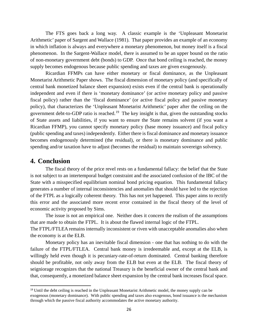The FTS goes back a long way. A classic example is the 'Unpleasant Monetarist Arithmetic' paper of Sargent and Wallace (1981). That paper provides an example of an economy in which inflation is always and everywhere a monetary phenomenon, but money itself is a fiscal phenomenon. In the Sargent-Wallace model, there is assumed to be an upper bound on the ratio of non-monetary government debt (bonds) to GDP. Once that bond ceiling is reached, the money supply becomes endogenous because public spending and taxes are given exogenously.

Ricardian FFMPs can have either monetary or fiscal dominance, as the Unpleasant Monetarist Arithmetic Paper shows. The fiscal dimension of monetary policy (and specifically of central bank monetized balance sheet expansion) exists even if the central bank is operationally independent and even if there is 'monetary dominance' (or active monetary policy and passive fiscal policy) rather than the 'fiscal dominance' (or active fiscal policy and passive monetary policy), that characterizes the 'Unpleasant Monetarist Arithmetic' paper after the ceiling on the government debt-to-GDP ratio is reached.<sup>19</sup> The key insight is that, given the outstanding stocks of State assets and liabilities, if you want to ensure the State remains solvent (if you want a Ricardian FFMP), you cannot specify monetary policy (base money issuance) and fiscal policy (public spending and taxes) independently. Either there is fiscal dominance and monetary issuance becomes endogenously determined (the residual), or there is monetary dominance and public spending and/or taxation have to adjust (becomes the residual) to maintain sovereign solvency.

## **4. Conclusion**

The fiscal theory of the price revel rests on a fundamental fallacy: the belief that the State is not subject to an intertemporal budget constraint and the associated confusion of the IBC of the State with a misspecified equilibrium nominal bond pricing equation. This fundamental fallacy generates a number of internal inconsistencies and anomalies that should have led to the rejection of the FTPL as a logically coherent theory. This has not yet happened. This paper aims to rectify this error and the associated more recent error contained in the fiscal theory of the level of economic activity proposed by Sims.

The issue is not an empirical one. Neither does it concern the realism of the assumptions that are made to obtain the FTPL. It is about the flawed internal logic of the FTPL. The FTPL/FTLEA remains internally inconsistent or riven with unacceptable anomalies also when the economy is at the ELB.

Monetary policy has an inevitable fiscal dimension - one that has nothing to do with the failure of the FTPL/FTLEA. Central bank money is irredeemable and, except at the ELB, is willingly held even though it is pecuniary-rate-of-return dominated. Central banking therefore should be profitable, not only away from the ELB but even at the ELB. The fiscal theory of seigniorage recognizes that the national Treasury is the beneficial owner of the central bank and that, consequently, a monetized balance sheet expansion by the central bank increases fiscal space.

<span id="page-29-0"></span><sup>&</sup>lt;sup>19</sup> Until the debt ceiling is reached in the Unpleasant Monetarist Arithmetic model, the money supply can be exogenous (monetary dominance). With public spending and taxes also exogenous, bond issuance is the mechanism through which the passive fiscal authority accommodates the active monetary authority.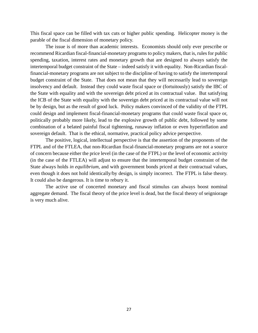This fiscal space can be filled with tax cuts or higher public spending. Helicopter money is the parable of the fiscal dimension of monetary policy.

The issue is of more than academic interests. Economists should only ever prescribe or recommend Ricardian fiscal-financial-monetary programs to policy makers, that is, rules for public spending, taxation, interest rates and monetary growth that are designed to always satisfy the intertemporal budget constraint of the State – indeed satisfy it with equality. Non-Ricardian fiscalfinancial-monetary programs are not subject to the discipline of having to satisfy the intertemporal budget constraint of the State. That does not mean that they will necessarily lead to sovereign insolvency and default. Instead they could waste fiscal space or (fortuitously) satisfy the IBC of the State with equality and with the sovereign debt priced at its contractual value. But satisfying the ICB of the State with equality with the sovereign debt priced at its contractual value will not be by design, but as the result of good luck. Policy makers convinced of the validity of the FTPL could design and implement fiscal-financial-monetary programs that could waste fiscal space or, politically probably more likely, lead to the explosive growth of public debt, followed by some combination of a belated painful fiscal tightening, runaway inflation or even hyperinflation and sovereign default. That is the ethical, normative, practical policy advice perspective.

The positive, logical, intellectual perspective is that the assertion of the proponents of the FTPL and of the FTLEA, that non-Ricardian fiscal-financial-monetary programs are not a source of concern because either the price level (in the case of the FTPL) or the level of economic activity (in the case of the FTLEA) will adjust to ensure that the intertemporal budget constraint of the State always holds *in equilibrium*, and with government bonds priced at their contractual values, even though it does not hold identically/by design, is simply incorrect. The FTPL is false theory. It could also be dangerous. It is time to rebury it.

The active use of concerted monetary and fiscal stimulus can always boost nominal aggregate demand. The fiscal theory of the price level is dead, but the fiscal theory of seigniorage is very much alive.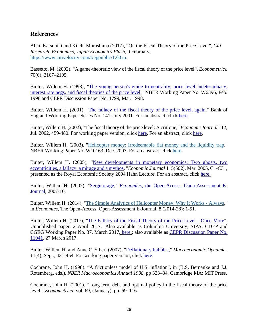## **References**

Abai, Katsuhiki and Kiichi Murashima (2017), "On the Fiscal Theory of the Price Level", *Citi Research, Economics, Japan Economics Flash*, 9 February, [https://www.citivelocity.com/t/eppublic/12kGu.](https://www.citivelocity.com/t/eppublic/12kGu)

Bassetto, M. (2002). "A game-theoretic view of the fiscal theory of the price level", *Econometrica* 70(6), 2167–2195.

Buiter, Willem H. (1998), "The young person's guide to neutrality, price level indeterminacy, [interest rate pegs, and fiscal theories of the price level,](http://willembuiter.com/wood5.pdf)" NBER Working Paper No. W6396, Feb. 1998 and CEPR Discussion Paper No. 1799, Mar. 1998.

Buiter, Willem H. (2001), ["The fallacy of the fiscal theory of the price level, again,](http://willembuiter.com/F2.PDF)" Bank of England Working Paper Series No. 141, July 2001. For an abstract, click [here.](http://willembuiter.com/F2ABS.PDF)

Buiter, Willem H. (2002), "The fiscal theory of the price level: A critique," *Economic Journal* 112, Jul. 2002, 459-480. For working paper version, click [here.](http://willembuiter.com/ej.pdf) For an abstract, click [here.](http://willembuiter.com/ejabs.pdf)

Buiter, Willem H. (2003), ["Helicopter money: Irredeemable fiat money and the liquidity trap,](http://willembuiter.com/Heliw10163.pdf)" NBER Working Paper No. W10163, Dec. 2003. For an abstract, click [here.](http://willembuiter.com/abheli.pdf)

Buiter, Willem H. (2005), ["New developments in monetary economics: Two ghosts, two](http://willembuiter.com/hahn.pdf)  [eccentricities, a fallacy,](http://willembuiter.com/hahn.pdf) a mirage and a mythos, "*Economic Journal* 115(502), Mar. 2005, C1-C31, presented as the Royal Economic Society 2004 Hahn Lecture. For an abstract, click [here.](http://willembuiter.com/hahnab.pdf)

Buiter, Willem H. (2007), ["Seigniorage,](http://willembuiter.com/seignioragefinal.pdf)" *Economics*[, the Open-Access, Open-Assessment E-](http://www.economics-ejournal.org/economics/journalarticles/2007-10)[Journal,](http://www.economics-ejournal.org/economics/journalarticles/2007-10) 2007-10.

Buiter, Willem H. (2014), ["The Simple Analytics of Helicopter Money: Why It Works -](http://willembuiter.com/helifinal3.pdf) Always," in *Economics*, The Open-Access, Open-Assessment E-Journal, 8 (2014-28): 1-51.

Buiter, Willem H. (2017), ["The Fallacy of the Fiscal Theory of the Price Level -](http://willembuiter.com/fallacy2.pdf) Once More", Unpublished paper, 2 April 2017. Also available as Columbia University, SIPA, CDEP and CGEG Working Paper No. 37, March 2017, [here.](http://cdep.sipa.columbia.edu/working-papers); also available as [CEPR Discussion Paper No.](http://dpsubs.cepr.org/discussion-paper/882)  [11941,](http://dpsubs.cepr.org/discussion-paper/882) 27 March 2017.

Buiter, Willem H. and Anne C. Sibert (2007), ["Deflationary bubbles,](http://journals.cambridge.org/action/displayIssue?jid=MDY&volumeId=11&issueId=04)" *Macroeconomic Dynamics* 11(4), Sept., 431-454. For working paper version, click [here.](http://willembuiter.com/defbub.pdf)

Cochrane, John H. (1998). "A frictionless model of U.S. inflation", in (B.S. Bernanke and J.J. Rotemberg, eds.), *NBER Macroeconomics Annual 1998*, pp 323–84, Cambridge MA: MIT Press.

Cochrane, John H. (2001). "Long term debt and optimal policy in the fiscal theory of the price level", *Econometrica*, vol. 69, (January), pp. 69–116.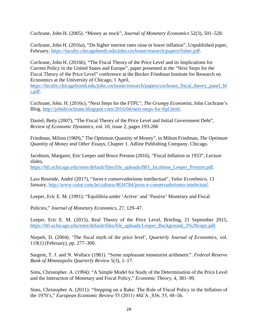Cochrane, John H. (2005). "Money as stock", *Journal of Monetary Economics* 52(3), 501–528.

Cochrane, John H. (2016a), "Do higher interest rates raise or lower inflation", Unpublished paper, February, [https://faculty.chicagobooth.edu/john.cochrane/research/papers/fisher.pdf.](https://faculty.chicagobooth.edu/john.cochrane/research/papers/fisher.pdf)

Cochrane, John H. (2016b), "The Fiscal Theory of the Price Level and its Implications for Current Policy in the United States and Europe", paper presented at the "Next Steps for the Fiscal Theory of the Price Level" conference at the Becker Friedman Institute for Research on Economics at the University of Chicago, 1 April,

[https://faculty.chicagobooth.edu/john.cochrane/research/papers/cochrane\\_fiscal\\_theory\\_panel\\_bf](https://faculty.chicagobooth.edu/john.cochrane/research/papers/cochrane_fiscal_theory_panel_bfi.pdf) [i.pdf.](https://faculty.chicagobooth.edu/john.cochrane/research/papers/cochrane_fiscal_theory_panel_bfi.pdf)

Cochrane, John. H. (2016c), "Next Steps for the FTPL", *The Grumpy Economist*, John Cochrane's Blog, [http://johnhcochrane.blogspot.com/2016/04/next-steps-for-ftpl.html.](http://johnhcochrane.blogspot.com/2016/04/next-steps-for-ftpl.html)

Daniel, Betty (2007), "The Fiscal Theory of the Price Level and Initial Government Debt", *Review of Economic Dynamics*, vol. 10, issue 2, pages 193-206

Friedman, Milton (1969)," The Optimum Quantity of Money", in Milton Friedman, *The Optimum Quantity of Money and Other Essays*, Chapter 1. Adline Publishing Company, Chicago.

Jacobson, Margaret, Eric Leeper and Bruce Preston (2016), "Fiscal Inflation in 1933", Lecture slides,

[https://bfi.uchicago.edu/sites/default/files/file\\_uploads/BFI\\_Jacobson\\_Leeper\\_Preston.pdf.](https://bfi.uchicago.edu/sites/default/files/file_uploads/BFI_Jacobson_Leeper_Preston.pdf)

Lara Resende, André (2017), "Juros e conservadorismo intellectual", *Valor Econômico*, 13 January, [http://www.valor.com.br/cultura/4834784/juros-e-conservadorismo-intelectual.](http://www.valor.com.br/cultura/4834784/juros-e-conservadorismo-intelectual)

Leeper, Eric E. M. (1991): "Equilibria under 'Active' and 'Passive' Monetary and Fiscal

Policies," *Journal of Monetary Economics*, 27, 129–47.

Leeper, Eric E. M. (2015), Real Theory of the Price Level, Briefing, 21 September 2015, [https://bfi.uchicago.edu/sites/default/files/file\\_uploads/Leeper\\_Background\\_3%20copy.pdf.](https://bfi.uchicago.edu/sites/default/files/file_uploads/Leeper_Background_3%20copy.pdf)

Niepelt, D. (2004). 'The fiscal myth of the price level', *Quarterly Journal of Economics*, vol. 119(1) (February), pp. 277–300.

Sargent, T. J. and N. Wallace (1981). "Some unpleasant monetarist arithmetic". *Federal Reserve Bank of Minneapolis Quarterly Review* 5(3), 1–17.

Sims, Christopher. A. (1994): "A Simple Model for Study of the Determination of the Price Level and the Interaction of Monetary and Fiscal Policy," *Economic Theory*, 4, 381–99.

Sims, Christopher A. (2011): "Stepping on a Rake: The Role of Fiscal Policy in the Inflation of the 1970's," *European Economic Review* 55 (2011) 48â˘A ¸S56, 55, 48–56.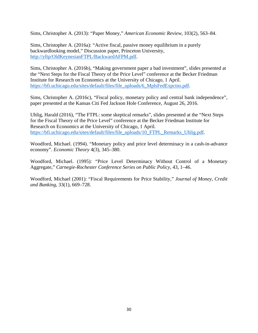Sims, Christopher A. (2013): "Paper Money," *American Economic Review*, 103(2), 563–84.

Sims, Christopher A. (2016a): "Active fiscal, passive money equilibrium in a purely backwardlooking model," Discussion paper, Princeton University, [http://yftp/OldKeynesianFTPL/BackwardAFPM.pdf.](http://yftp/OldKeynesianFTPL/BackwardAFPM.pdf)

Sims, Christopher A. (2016b), "Making government paper a bad investment", slides presented at the "Next Steps for the Fiscal Theory of the Price Level" conference at the Becker Friedman Institute for Research on Economics at the University of Chicago, 1 April. [https://bfi.uchicago.edu/sites/default/files/file\\_uploads/6\\_MplsFedExpctns.pdf.](https://bfi.uchicago.edu/sites/default/files/file_uploads/6_MplsFedExpctns.pdf)

Sims, Christopher A. (2016c), "Fiscal policy, monetary policy and central bank independence", paper presented at the Kansas Citi Fed Jackson Hole Conference, August 26, 2016.

Uhlig, Harald (2016), "The FTPL: some skeptical remarks", slides presented at the "Next Steps for the Fiscal Theory of the Price Level" conference at the Becker Friedman Institute for Research on Economics at the University of Chicago, 1 April. [https://bfi.uchicago.edu/sites/default/files/file\\_uploads/10\\_FTPL\\_Remarks\\_Uhlig.pdf.](https://bfi.uchicago.edu/sites/default/files/file_uploads/10_FTPL_Remarks_Uhlig.pdf)

Woodford, Michael. (1994). "Monetary policy and price level determinacy in a cash-in-advance economy". *Economic Theory* 4(3), 345–380.

Woodford, Michael. (1995): "Price Level Determinacy Without Control of a Monetary Aggregate," *Carnegie-Rochester Conference Series on Public Policy*, 43, 1–46.

Woodford, Michael (2001): "Fiscal Requirements for Price Stability," *Journal of Money, Credit and Banking*, 33(1), 669–728.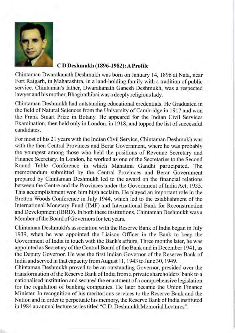

#### CD Deshmukh (1896-1982): A Profile

Chintaman Dwarakanath Deshmukh was born on January 14, 1896 at Nata, near Fort Raigarh, in Maharashtra, in a land-holding family with a tradition of public service. Chintaman's father, Dwarakanath Ganesh Deshmukh, was a respected lawyer and his mother, Bhagirathibai was a deeply religious lady.

Chintaman Deshmukh had outstanding educational credentials. He Graduated in the field of Natural Sciences from the University of Cambridge in 1917 and won the Frank Smart Prize in Botany. He appeared for the Indian Civil Services Examination, then held only in London, in 1918, and topped the list of successful candidates.

For most of his 21 years with the Indian Civil Service, Chintaman Deshmukh was with the then Central Provinces and Berar Government, where he was probably the youngest among those who held the positions of Revenue Secretary and Finance Secretary. In London, he worked as one of the Secretaries to the Second Round Table Conference in which Mahatma Gandhi participated. The memorandum submitted by the Central Provinces and Berar Government prepared by Chintaman Deshmukh led to the award on the financial relations between the Centre and the Provinces under the Government of India Act, 1935. This accomplishment won him high acclaim. He played an important role in the Bretton Woods Conference in July 1944, which led to the establishment of the International Monetary Fund (IMF) and International Bank for Reconstruction and Development (IBRD). In both these institutions, Chintaman Deshmukh was a Member of the Board of Governors for ten years.

Chintaman Deshmukh's association with the Reserve Bank of India began in July 1939, when he was appointed the Liaison Officer in the Bank to keep the Government of India in touch with the Bank's affairs. Three months later, he was appointed as Secretary of the Central Board of the Bank and in December 1941, as the Deputy Governor. He was the first Indian Governor of the Reserve Bank of India and served in that capacity from August 11, 1943 to June 30, 1949.

Chintaman Deshmukh proved to be an outstanding Governor, presided over the transformation of the Reserve Bank of India from a private shareholders' bank to a nationalised institution and secured the enactment of a comprehensive legislation for the regulation of banking companies. He later became the Union Finance Minister. In recognition of his meritorious services to the Reserve Bank and the Nation and in order to perpetuate his memory, the Reserve Bank of India instituted in 1984 an annual lecture series titled "C.D. Deshmukh Memorial Lectures".